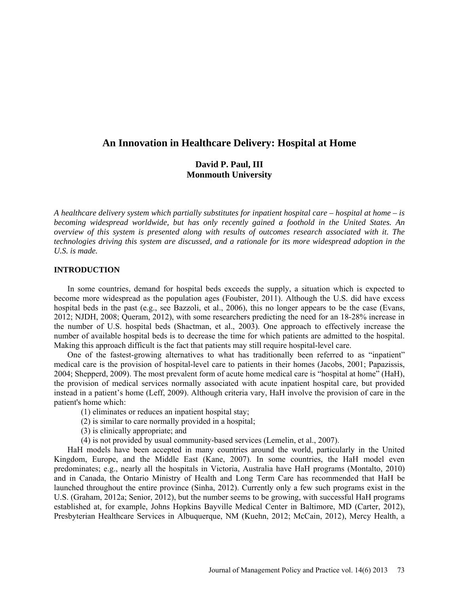# **An Innovation in Healthcare Delivery: Hospital at Home**

# **David P. Paul, III Monmouth University**

*A healthcare delivery system which partially substitutes for inpatient hospital care – hospital at home – is becoming widespread worldwide, but has only recently gained a foothold in the United States. An overview of this system is presented along with results of outcomes research associated with it. The technologies driving this system are discussed, and a rationale for its more widespread adoption in the U.S. is made.*

## **INTRODUCTION**

In some countries, demand for hospital beds exceeds the supply, a situation which is expected to become more widespread as the population ages (Foubister, 2011). Although the U.S. did have excess hospital beds in the past (e.g., see Bazzoli, et al., 2006), this no longer appears to be the case (Evans, 2012; NJDH, 2008; Queram, 2012), with some researchers predicting the need for an 18-28% increase in the number of U.S. hospital beds (Shactman, et al., 2003). One approach to effectively increase the number of available hospital beds is to decrease the time for which patients are admitted to the hospital. Making this approach difficult is the fact that patients may still require hospital-level care.

One of the fastest-growing alternatives to what has traditionally been referred to as "inpatient" medical care is the provision of hospital-level care to patients in their homes (Jacobs, 2001; Papazissis, 2004; Shepperd, 2009). The most prevalent form of acute home medical care is "hospital at home" (HaH), the provision of medical services normally associated with acute inpatient hospital care, but provided instead in a patient's home (Leff, 2009). Although criteria vary, HaH involve the provision of care in the patient's home which:

- (1) eliminates or reduces an inpatient hospital stay;
- (2) is similar to care normally provided in a hospital;
- (3) is clinically appropriate; and
- (4) is not provided by usual community-based services (Lemelin, et al., 2007).

HaH models have been accepted in many countries around the world, particularly in the United Kingdom, Europe, and the Middle East (Kane, 2007). In some countries, the HaH model even predominates; e.g., nearly all the hospitals in Victoria, Australia have HaH programs (Montalto, 2010) and in Canada, the Ontario Ministry of Health and Long Term Care has recommended that HaH be launched throughout the entire province (Sinha, 2012). Currently only a few such programs exist in the U.S. (Graham, 2012a; Senior, 2012), but the number seems to be growing, with successful HaH programs established at, for example, Johns Hopkins Bayville Medical Center in Baltimore, MD (Carter, 2012), Presbyterian Healthcare Services in Albuquerque, NM (Kuehn, 2012; McCain, 2012), Mercy Health, a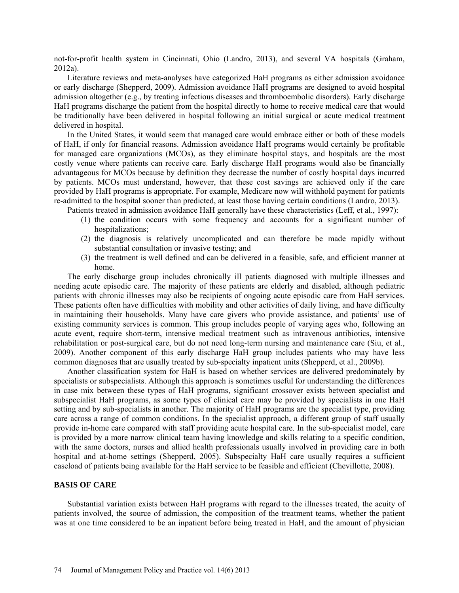not-for-profit health system in Cincinnati, Ohio (Landro, 2013), and several VA hospitals (Graham, 2012a).

Literature reviews and meta-analyses have categorized HaH programs as either admission avoidance or early discharge (Shepperd, 2009). Admission avoidance HaH programs are designed to avoid hospital admission altogether (e.g., by treating infectious diseases and thromboembolic disorders). Early discharge HaH programs discharge the patient from the hospital directly to home to receive medical care that would be traditionally have been delivered in hospital following an initial surgical or acute medical treatment delivered in hospital.

In the United States, it would seem that managed care would embrace either or both of these models of HaH, if only for financial reasons. Admission avoidance HaH programs would certainly be profitable for managed care organizations (MCOs), as they eliminate hospital stays, and hospitals are the most costly venue where patients can receive care. Early discharge HaH programs would also be financially advantageous for MCOs because by definition they decrease the number of costly hospital days incurred by patients. MCOs must understand, however, that these cost savings are achieved only if the care provided by HaH programs is appropriate. For example, Medicare now will withhold payment for patients re-admitted to the hospital sooner than predicted, at least those having certain conditions (Landro, 2013).

Patients treated in admission avoidance HaH generally have these characteristics (Leff, et al., 1997):

- (1) the condition occurs with some frequency and accounts for a significant number of hospitalizations;
- (2) the diagnosis is relatively uncomplicated and can therefore be made rapidly without substantial consultation or invasive testing; and
- (3) the treatment is well defined and can be delivered in a feasible, safe, and efficient manner at home.

The early discharge group includes chronically ill patients diagnosed with multiple illnesses and needing acute episodic care. The majority of these patients are elderly and disabled, although pediatric patients with chronic illnesses may also be recipients of ongoing acute episodic care from HaH services. These patients often have difficulties with mobility and other activities of daily living, and have difficulty in maintaining their households. Many have care givers who provide assistance, and patients' use of existing community services is common. This group includes people of varying ages who, following an acute event, require short-term, intensive medical treatment such as intravenous antibiotics, intensive rehabilitation or post-surgical care, but do not need long-term nursing and maintenance care [\(Siu,](http://content.healthaffairs.org/search?author1=Albert+L.+Siu&sortspec=date&submit=Submit) et al., 2009). Another component of this early discharge HaH group includes patients who may have less common diagnoses that are usually treated by sub-specialty inpatient units (Shepperd, et al., 2009b).

Another classification system for HaH is based on whether services are delivered predominately by specialists or subspecialists. Although this approach is sometimes useful for understanding the differences in case mix between these types of HaH programs, significant crossover exists between specialist and subspecialist HaH programs, as some types of clinical care may be provided by specialists in one HaH setting and by sub-specialists in another. The majority of HaH programs are the specialist type, providing care across a range of common conditions. In the specialist approach, a different group of staff usually provide in-home care compared with staff providing acute hospital care. In the sub-specialist model, care is provided by a more narrow clinical team having knowledge and skills relating to a specific condition, with the same doctors, nurses and allied health professionals usually involved in providing care in both hospital and at-home settings (Shepperd, 2005). Subspecialty HaH care usually requires a sufficient caseload of patients being available for the HaH service to be feasible and efficient (Chevillotte, 2008).

## **BASIS OF CARE**

Substantial variation exists between HaH programs with regard to the illnesses treated, the acuity of patients involved, the source of admission, the composition of the treatment teams, whether the patient was at one time considered to be an inpatient before being treated in HaH, and the amount of physician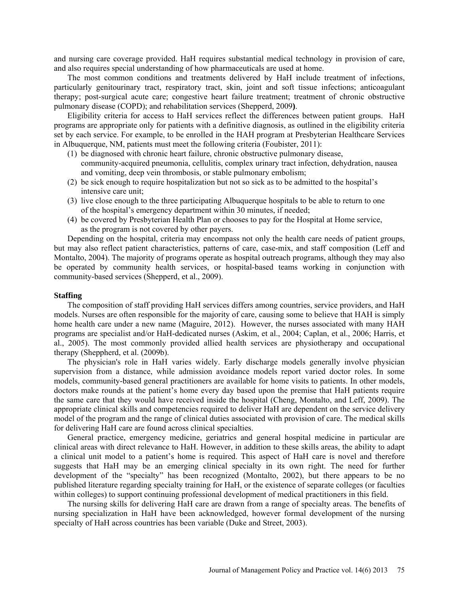and nursing care coverage provided. HaH requires substantial medical technology in provision of care, and also requires special understanding of how pharmaceuticals are used at home.

The most common conditions and treatments delivered by HaH include treatment of infections, particularly genitourinary tract, respiratory tract, skin, joint and soft tissue infections; anticoagulant therapy; post-surgical acute care; congestive heart failure treatment; treatment of chronic obstructive pulmonary disease (COPD); and rehabilitation services (Shepperd, 2009**)**.

Eligibility criteria for access to HaH services reflect the differences between patient groups. HaH programs are appropriate only for patients with a definitive diagnosis, as outlined in the eligibility criteria set by each service. For example, to be enrolled in the HAH program at Presbyterian Healthcare Services in Albuquerque, NM, patients must meet the following criteria (Foubister, 2011):

- (1) be diagnosed with chronic heart failure, chronic obstructive pulmonary disease, community-acquired pneumonia, cellulitis, complex urinary tract infection, dehydration, nausea and vomiting, deep vein thrombosis, or stable pulmonary embolism;
- (2) be sick enough to require hospitalization but not so sick as to be admitted to the hospital's intensive care unit;
- (3) live close enough to the three participating Albuquerque hospitals to be able to return to one of the hospital's emergency department within 30 minutes, if needed;
- (4) be covered by Presbyterian Health Plan or chooses to pay for the Hospital at Home service, as the program is not covered by other payers.

Depending on the hospital, criteria may encompass not only the health care needs of patient groups, but may also reflect patient characteristics, patterns of care, case-mix, and staff composition (Leff and Montalto, 2004). The majority of programs operate as hospital outreach programs, although they may also be operated by community health services, or hospital-based teams working in conjunction with community-based services (Shepperd, et al., 2009).

### **Staffing**

The composition of staff providing HaH services differs among countries, service providers, and HaH models. Nurses are often responsible for the majority of care, causing some to believe that HAH is simply home health care under a new name (Maguire, 2012). However, the nurses associated with many HAH programs are specialist and/or HaH-dedicated nurses (Askim, et al., 2004; Caplan, et al., 2006; Harris, et al., 2005). The most commonly provided allied health services are physiotherapy and occupational therapy (Sheppherd, et al. (2009b).

The physician's role in HaH varies widely. Early discharge models generally involve physician supervision from a distance, while admission avoidance models report varied doctor roles. In some models, community-based general practitioners are available for home visits to patients. In other models, doctors make rounds at the patient's home every day based upon the premise that HaH patients require the same care that they would have received inside the hospital (Cheng, Montalto, and Leff, 2009). The appropriate clinical skills and competencies required to deliver HaH are dependent on the service delivery model of the program and the range of clinical duties associated with provision of care. The medical skills for delivering HaH care are found across clinical specialties.

General practice, emergency medicine, geriatrics and general hospital medicine in particular are clinical areas with direct relevance to HaH. However, in addition to these skills areas, the ability to adapt a clinical unit model to a patient's home is required. This aspect of HaH care is novel and therefore suggests that HaH may be an emerging clinical specialty in its own right. The need for further development of the "specialty" has been recognized (Montalto, 2002), but there appears to be no published literature regarding specialty training for HaH, or the existence of separate colleges (or faculties within colleges) to support continuing professional development of medical practitioners in this field.

The nursing skills for delivering HaH care are drawn from a range of specialty areas. The benefits of nursing specialization in HaH have been acknowledged, however formal development of the nursing specialty of HaH across countries has been variable (Duke and Street, 2003).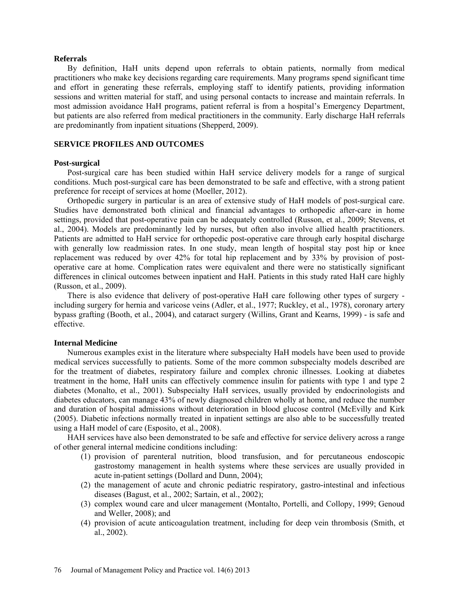#### **Referrals**

By definition, HaH units depend upon referrals to obtain patients, normally from medical practitioners who make key decisions regarding care requirements. Many programs spend significant time and effort in generating these referrals, employing staff to identify patients, providing information sessions and written material for staff, and using personal contacts to increase and maintain referrals. In most admission avoidance HaH programs, patient referral is from a hospital's Emergency Department, but patients are also referred from medical practitioners in the community. Early discharge HaH referrals are predominantly from inpatient situations (Shepperd, 2009).

## **SERVICE PROFILES AND OUTCOMES**

### **Post-surgical**

Post-surgical care has been studied within HaH service delivery models for a range of surgical conditions. Much post-surgical care has been demonstrated to be safe and effective, with a strong patient preference for receipt of services at home (Moeller, 2012).

Orthopedic surgery in particular is an area of extensive study of HaH models of post-surgical care. Studies have demonstrated both clinical and financial advantages to orthopedic after-care in home settings, provided that post-operative pain can be adequately controlled (Russon, et al., 2009; Stevens, et al., 2004). Models are predominantly led by nurses, but often also involve allied health practitioners. Patients are admitted to HaH service for orthopedic post-operative care through early hospital discharge with generally low readmission rates. In one study, mean length of hospital stay post hip or knee replacement was reduced by over 42% for total hip replacement and by 33% by provision of postoperative care at home. Complication rates were equivalent and there were no statistically significant differences in clinical outcomes between inpatient and HaH. Patients in this study rated HaH care highly (Russon, et al., 2009).

There is also evidence that delivery of post-operative HaH care following other types of surgery including surgery for hernia and varicose veins (Adler, et al., 1977; Ruckley, et al., 1978), coronary artery bypass grafting (Booth, et al., 2004), and cataract surgery (Willins, [Grant and](http://www.ncbi.nlm.nih.gov/pubmed?term=Grant%20B%5BAuthor%5D&cauthor=true&cauthor_uid=10624428) [Kearns, 1999\) -](http://www.ncbi.nlm.nih.gov/pubmed?term=Kearns%20PP%5BAuthor%5D&cauthor=true&cauthor_uid=10624428) is safe and effective.

### **Internal Medicine**

Numerous examples exist in the literature where subspecialty HaH models have been used to provide medical services successfully to patients. Some of the more common subspecialty models described are for the treatment of diabetes, respiratory failure and complex chronic illnesses. Looking at diabetes treatment in the home, HaH units can effectively commence insulin for patients with type 1 and type 2 diabetes (Monalto, et al., 2001). Subspecialty HaH services, usually provided by endocrinologists and diabetes educators, can manage 43% of newly diagnosed children wholly at home, and reduce the number and duration of hospital admissions without deterioration in blood glucose control (McEvilly and Kirk (2005). Diabetic infections normally treated in inpatient settings are also able to be successfully treated using a HaH model of care (Esposito, et al., 2008).

HAH services have also been demonstrated to be safe and effective for service delivery across a range of other general internal medicine conditions including:

- (1) provision of parenteral nutrition, blood transfusion, and for percutaneous endoscopic gastrostomy management in health systems where these services are usually provided in acute in-patient settings (Dollard and Dunn, 2004);
- (2) the management of acute and chronic pediatric respiratory, gastro-intestinal and infectious diseases (Bagust, et al., 2002; Sartain, et al., 2002);
- (3) complex wound care and ulcer management (Montalto, Portelli, and [Collopy,](http://www.ncbi.nlm.nih.gov/pubmed?term=Collopy%20B%5BAuthor%5D&cauthor=true&cauthor_uid=10561033) 1999; Genoud and [Weller,](http://www.ncbi.nlm.nih.gov/pubmed?term=Weller%20J%5BAuthor%5D&cauthor=true&cauthor_uid=18548939) 2008); and
- (4) provision of acute anticoagulation treatment, including for deep vein thrombosis (Smith, et al., 2002).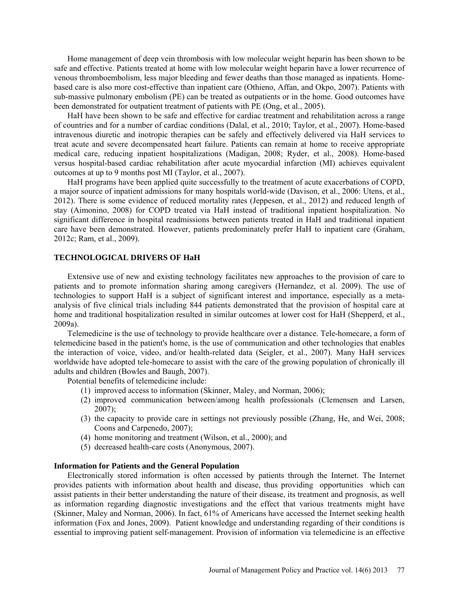Home management of deep vein thrombosis with low molecular weight heparin has been shown to be safe and effective. Patients treated at home with low molecular weight heparin have a lower recurrence of venous thromboembolism, less major bleeding and fewer deaths than those managed as inpatients. Homebased care is also more cost-effective than inpatient care (Othieno, [Affan,](http://www.ncbi.nlm.nih.gov/pubmed?term=Abu%20Affan%20M%5BAuthor%5D&cauthor=true&cauthor_uid=17636714) and [Okpo, 2](http://www.ncbi.nlm.nih.gov/pubmed?term=Okpo%20E%5BAuthor%5D&cauthor=true&cauthor_uid=17636714)007). Patients with sub-massive pulmonary embolism (PE) can be treated as outpatients or in the home. Good outcomes have been demonstrated for outpatient treatment of patients with PE (Ong, et al., 2005).

HaH have been shown to be safe and effective for cardiac treatment and rehabilitation across a range of countries and for a number of cardiac conditions (Dalal, et al., 2010; Taylor, et al., 2007). Home-based intravenous diuretic and inotropic therapies can be safely and effectively delivered via HaH services to treat acute and severe decompensated heart failure. Patients can remain at home to receive appropriate medical care, reducing inpatient hospitalizations (Madigan, 2008; Ryder, et al., 2008). Home-based versus hospital-based cardiac rehabilitation after acute myocardial infarction (MI) achieves equivalent outcomes at up to 9 months post MI (Taylor, et al., 2007).

HaH programs have been applied quite successfully to the treatment of acute exacerbations of COPD, a major source of inpatient admissions for many hospitals world-wide (Davison, et al., 2006: Utens, et al., 2012). There is some evidence of reduced mortality rates (Jeppesen, et al., 2012) and reduced length of stay (Aimonino, 2008) for COPD treated via HaH instead of traditional inpatient hospitalization. No significant difference in hospital readmissions between patients treated in HaH and traditional inpatient care have been demonstrated. However, patients predominately prefer HaH to inpatient care (Graham, 2012c; Ram, et al., 2009).

### **TECHNOLOGICAL DRIVERS OF HaH**

Extensive use of new and existing technology facilitates new approaches to the provision of care to patients and to promote information sharing among caregivers (Hernandez, et al. 2009). The use of technologies to support HaH is a subject of significant interest and importance, especially as a metaanalysis of five clinical trials including 844 patients demonstrated that the provision of hospital care at home and traditional hospitalization resulted in similar outcomes at lower cost for HaH (Shepperd, et al., 2009a).

Telemedicine is the use of technology to provide healthcare over a distance. Tele-homecare, a form of telemedicine based in the patient's home, is the use of communication and other technologies that enables the interaction of voice, video, and/or health-related data (Seigler, et al., 2007). Many HaH services worldwide have adopted tele-homecare to assist with the care of the growing population of chronically ill adults and children (Bowles and Baugh, 2007).

Potential benefits of telemedicine include:

- (1) improved access to information [\(Skinner,](http://hpp.sagepub.com/search?author1=Harvey+A.+Skinner&sortspec=date&submit=Submit) [Maley,](http://hpp.sagepub.com/search?author1=Oonagh+Maley&sortspec=date&submit=Submit) and [Norman,](http://hpp.sagepub.com/search?author1=Cameron+D.+Norman&sortspec=date&submit=Submit) 2006);
- (2) improved communication between/among health professionals (Clemensen and Larsen,  $2007$ :
- (3) the capacity to provide care in settings not previously possible (Zhang, He, and Wei, 2008; Coons and Carpenedo, 2007);
- (4) home monitoring and treatment (Wilson, et al., 2000); and
- (5) decreased health-care costs (Anonymous, 2007).

#### **Information for Patients and the General Population**

Electronically stored information is often accessed by patients through the Internet. The Internet provides patients with information about health and disease, thus providing opportunities which can assist patients in their better understanding the nature of their disease, its treatment and prognosis, as well as information regarding diagnostic investigations and the effect that various treatments might have (Skinner, Maley and Norman, 2006). In fact, 61% of Americans have accessed the Internet seeking health information (Fox and Jones, 2009). Patient knowledge and understanding regarding of their conditions is essential to improving patient self-management. Provision of information via telemedicine is an effective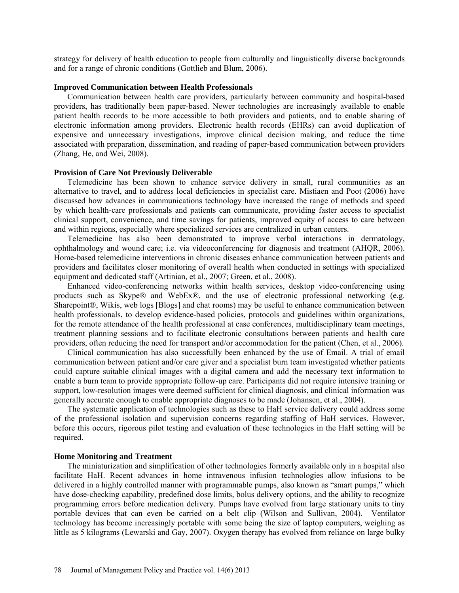strategy for delivery of health education to people from culturally and linguistically diverse backgrounds and for a range of chronic conditions (Gottlieb and Blum, 2006).

### **Improved Communication between Health Professionals**

Communication between health care providers, particularly between community and hospital-based providers, has traditionally been paper-based. Newer technologies are increasingly available to enable patient health records to be more accessible to both providers and patients, and to enable sharing of electronic information among providers. Electronic health records (EHRs) can avoid duplication of expensive and unnecessary investigations, improve clinical decision making, and reduce the time associated with preparation, dissemination, and reading of paper-based communication between providers (Zhang, He, and Wei, 2008).

## **Provision of Care Not Previously Deliverable**

Telemedicine has been shown to enhance service delivery in small, rural communities as an alternative to travel, and to address local deficiencies in specialist care. Mistiaen and Poot (2006) have discussed how advances in communications technology have increased the range of methods and speed by which health-care professionals and patients can communicate, providing faster access to specialist clinical support, convenience, and time savings for patients, improved equity of access to care between and within regions, especially where specialized services are centralized in urban centers.

Telemedicine has also been demonstrated to improve verbal interactions in dermatology, ophthalmology and wound care; i.e. via videoconferencing for diagnosis and treatment (AHQR, 2006). Home-based telemedicine interventions in chronic diseases enhance communication between patients and providers and facilitates closer monitoring of overall health when conducted in settings with specialized equipment and dedicated staff (Artinian, et al., 2007; Green, et al., 2008).

Enhanced video-conferencing networks within health services, desktop video-conferencing using products such as Skype® and WebEx®, and the use of electronic professional networking (e.g. Sharepoint®, Wikis, web logs [Blogs] and chat rooms) may be useful to enhance communication between health professionals, to develop evidence-based policies, protocols and guidelines within organizations, for the remote attendance of the health professional at case conferences, multidisciplinary team meetings, treatment planning sessions and to facilitate electronic consultations between patients and health care providers, often reducing the need for transport and/or accommodation for the patient (Chen, et al., 2006).

Clinical communication has also successfully been enhanced by the use of Email. A trial of email communication between patient and/or care giver and a specialist burn team investigated whether patients could capture suitable clinical images with a digital camera and add the necessary text information to enable a burn team to provide appropriate follow-up care. Participants did not require intensive training or support, low-resolution images were deemed sufficient for clinical diagnosis, and clinical information was generally accurate enough to enable appropriate diagnoses to be made (Johansen, et al., 2004).

The systematic application of technologies such as these to HaH service delivery could address some of the professional isolation and supervision concerns regarding staffing of HaH services. However, before this occurs, rigorous pilot testing and evaluation of these technologies in the HaH setting will be required.

### **Home Monitoring and Treatment**

The miniaturization and simplification of other technologies formerly available only in a hospital also facilitate HaH. Recent advances in home intravenous infusion technologies allow infusions to be delivered in a highly controlled manner with programmable pumps, also known as "smart pumps," which have dose-checking capability, predefined dose limits, bolus delivery options, and the ability to recognize programming errors before medication delivery. Pumps have evolved from large stationary units to tiny portable devices that can even be carried on a belt clip (Wilson and Sullivan, 2004). Ventilator technology has become increasingly portable with some being the size of laptop computers, weighing as little as 5 kilograms (Lewarski and Gay, 2007). Oxygen therapy has evolved from reliance on large bulky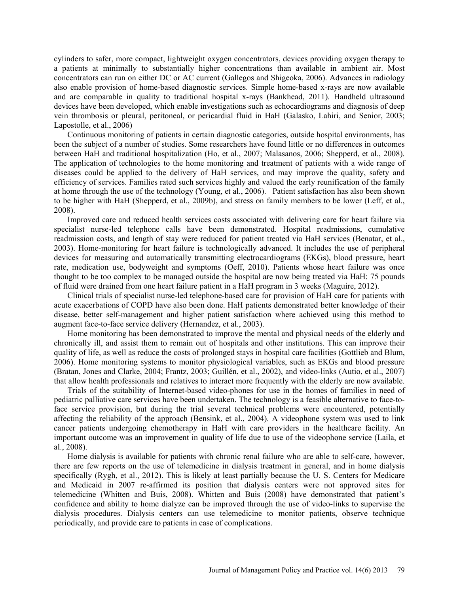cylinders to safer, more compact, lightweight oxygen concentrators, [devices](http://en.wikipedia.org/wiki/Machine) providing [oxygen therapy](http://en.wikipedia.org/wiki/Oxygen_therapy) to a [patients](http://en.wikipedia.org/wiki/Patient) at minimally to substantially higher concentrations than available in ambient air. Most concentrators can run on either DC or AC current (Gallegos and Shigeoka, 2006). Advances in radiology also enable provision of home-based diagnostic services. Simple home-based x-rays are now available and are comparable in quality to traditional hospital x-rays (Bankhead, 2011). Handheld ultrasound devices have been developed, which enable investigations such as echocardiograms and diagnosis of deep vein thrombosis or pleural, peritoneal, or pericardial fluid in HaH (Galasko, [Lahiri,](http://www.ncbi.nlm.nih.gov/pubmed?term=Lahiri%20A%5BAuthor%5D&cauthor=true&cauthor_uid=12749873) and Senior, 2003; Lapostolle, et al., 2006)

Continuous monitoring of patients in certain diagnostic categories, outside hospital environments, has been the subject of a number of studies. Some researchers have found little or no differences in outcomes between HaH and traditional hospitalization (Ho, et al., 2007; Malasanos, 2006; Shepperd, et al., 2008). The application of technologies to the home monitoring and treatment of patients with a wide range of diseases could be applied to the delivery of HaH services, and may improve the quality, safety and efficiency of services. Families rated such services highly and valued the early reunification of the family at home through the use of the technology (Young, et al., 2006). Patient satisfaction has also been shown to be higher with HaH (Shepperd, et al., 2009b), and stress on family members to be lower (Leff, et al., 2008).

Improved care and reduced health services costs associated with delivering care for heart failure via specialist nurse-led telephone calls have been demonstrated. Hospital readmissions, cumulative readmission costs, and length of stay were reduced for patient treated via HaH services (Benatar, et al., 2003). Home-monitoring for heart failure is technologically advanced. It includes the use of peripheral devices for measuring and automatically transmitting electrocardiograms (EKGs), blood pressure, heart rate, medication use, bodyweight and symptoms (Oeff, 2010). Patients whose heart failure was once thought to be too complex to be managed outside the hospital are now being treated via HaH: 75 pounds of fluid were drained from one heart failure patient in a HaH program in 3 weeks (Maguire, 2012).

Clinical trials of specialist nurse-led telephone-based care for provision of HaH care for patients with acute exacerbations of COPD have also been done. HaH patients demonstrated better knowledge of their disease, better self-management and higher patient satisfaction where achieved using this method to augment face-to-face service delivery (Hernandez, et al., 2003).

Home monitoring has been demonstrated to improve the mental and physical needs of the elderly and chronically ill, and assist them to remain out of hospitals and other institutions. This can improve their quality of life, as well as reduce the costs of prolonged stays in hospital care facilities (Gottlieb and Blum, 2006). Home monitoring systems to monitor physiological variables, such as EKGs and blood pressure [\(Bratan, J](http://www.ncbi.nlm.nih.gov/pubmed?term=Bratan%20T%5BAuthor%5D&cauthor=true&cauthor_uid=15747943)ones and Clarke, 2004; Frantz, 2003; Guillén, et al., 2002), and video-links (Autio, et al., 2007) that allow health professionals and relatives to interact more frequently with the elderly are now available.

Trials of the suitability of Internet-based video-phones for use in the homes of families in need of pediatric palliative care services have been undertaken. The technology is a feasible alternative to face-toface service provision, but during the trial several technical problems were encountered, potentially affecting the reliability of the approach (Bensink, et al., 2004). A videophone system was used to link cancer patients undergoing chemotherapy in HaH with care providers in the healthcare facility. An important outcome was an improvement in quality of life due to use of the videophone service (Laila, et al., 2008).

Home dialysis is available for patients with chronic renal failure who are able to self-care, however, there are few reports on the use of telemedicine in dialysis treatment in general, and in home dialysis specifically (Rygh, et al., 2012). This is likely at least partially because the U. S. Centers for Medicare and Medicaid in 2007 re-affirmed its position that dialysis centers were not approved sites for telemedicine (Whitten and Buis, 2008). Whitten and Buis (2008) have demonstrated that patient's confidence and ability to home dialyze can be improved through the use of video-links to supervise the dialysis procedures. Dialysis centers can use telemedicine to monitor patients, observe technique periodically, and provide care to patients in case of complications.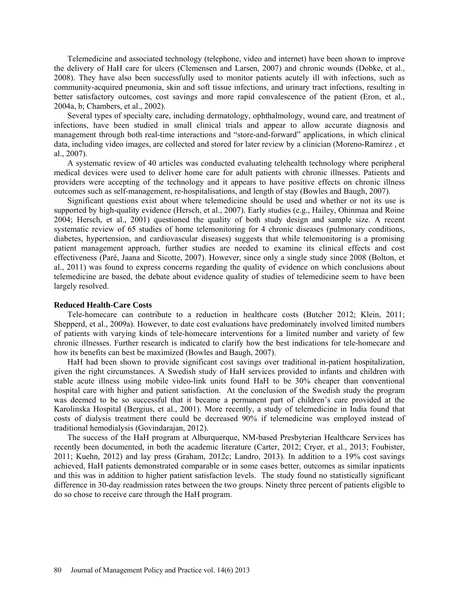Telemedicine and associated technology (telephone, video and internet) have been shown to improve the delivery of HaH care for ulcers (Clemensen and Larsen, 2007) and chronic wounds (Dobke, et al., 2008). They have also been successfully used to monitor patients acutely ill with infections, such as community-acquired pneumonia, skin and soft tissue infections, and urinary tract infections, resulting in better satisfactory outcomes, cost savings and more rapid convalescence of the patient (Eron, et al., 2004a, b; Chambers, et al., 2002).

Several types of specialty care, including dermatology, ophthalmology, wound care, and treatment of infections, have been studied in small clinical trials and appear to allow accurate diagnosis and management through both real-time interactions and "store-and-forward" applications, in which clinical data, including video images, are collected and stored for later review by a clinician (Moreno-Ramirez , et al., 2007).

A systematic review of 40 articles was conducted evaluating telehealth technology where peripheral medical devices were used to deliver home care for adult patients with chronic illnesses. Patients and providers were accepting of the technology and it appears to have positive effects on chronic illness outcomes such as self-management, re-hospitalisations, and length of stay (Bowles and [Baugh,](http://www.ncbi.nlm.nih.gov/pubmed?term=Baugh%20AC%5BAuthor%5D&cauthor=true&cauthor_uid=17224692) 2007).

Significant questions exist about where telemedicine should be used and whether or not its use is supported by high-quality evidence (Hersch, et al., 2007). Early studies (e.g., [Hailey,](http://jtt.rsmjournals.com/search?author1=David+Hailey&sortspec=date&submit=Submit) [Ohinmaa](http://jtt.rsmjournals.com/search?author1=Arto+Ohinmaa&sortspec=date&submit=Submit) and [Roine](http://jtt.rsmjournals.com/search?author1=Risto+Roine&sortspec=date&submit=Submit)  2004; Hersch, et al., 2001) questioned the quality of both study design and sample size. A recent systematic review of 65 studies of home telemonitoring for 4 chronic diseases (pulmonary conditions, diabetes, hypertension, and cardiovascular diseases) suggests that while telemonitoring is a promising patient management approach, further studies are needed to examine its clinical effects and cost effectiveness [\(Paré,](http://jamia.bmj.com/search?author1=Guy+Par%C3%A9&sortspec=date&submit=Submit) [Jaana](http://jamia.bmj.com/search?author1=Mirou+Jaana&sortspec=date&submit=Submit) and [Sicotte,](http://jamia.bmj.com/search?author1=Claude+Sicotte&sortspec=date&submit=Submit) 2007). However, since only a single study since 2008 (Bolton, et al., 2011) was found to express concerns regarding the quality of evidence on which conclusions about telemedicine are based, the debate about evidence quality of studies of telemedicine seem to have been largely resolved.

#### **Reduced Health-Care Costs**

Tele-homecare can contribute to a reduction in healthcare costs (Butcher 2012; Klein, 2011; Shepperd, et al., 2009a). However, to date cost evaluations have predominately involved limited numbers of patients with varying kinds of tele-homecare interventions for a limited number and variety of few chronic illnesses. Further research is indicated to clarify how the best indications for tele-homecare and how its benefits can best be maximized (Bowles and [Baugh,](http://www.ncbi.nlm.nih.gov/pubmed?term=Baugh%20AC%5BAuthor%5D&cauthor=true&cauthor_uid=17224692) 2007).

HaH had been shown to provide significant cost savings over traditional in-patient hospitalization, given the right circumstances. A Swedish study of HaH services provided to infants and children with stable acute illness using mobile video-link units found HaH to be 30% cheaper than conventional hospital care with higher and patient satisfaction. At the conclusion of the Swedish study the program was deemed to be so successful that it became a permanent part of children's care provided at the Karolinska Hospital (Bergius, et al., 2001). More recently, a study of telemedicine in India found that costs of dialysis treatment there could be decreased 90% if telemedicine was employed instead of traditional hemodialysis (Govindarajan, 2012).

The success of the HaH program at Alburquerque, NM-based Presbyterian Healthcare Services has recently been documented, in both the academic literature (Carter, 2012; Cryer, et al., 2013; Foubister, 2011; Kuehn, 2012) and lay press (Graham, 2012c; Landro, 2013). In addition to a 19% cost savings achieved, HaH patients demonstrated comparable or in some cases better, outcomes as similar inpatients and this was in addition to higher patient satisfaction levels. The study found no statistically significant difference in 30-day readmission rates between the two groups. Ninety three percent of patients eligible to do so chose to receive care through the HaH program.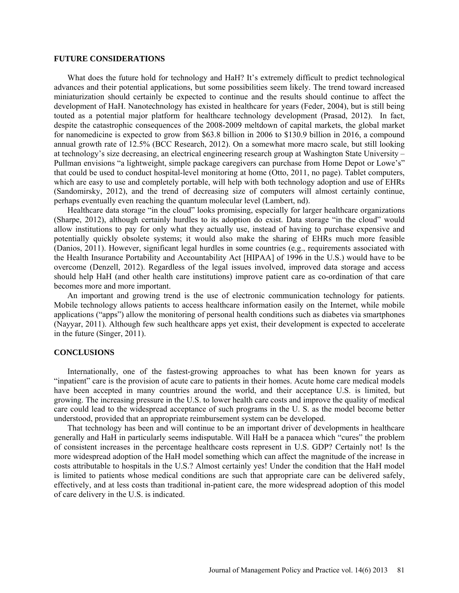### **FUTURE CONSIDERATIONS**

What does the future hold for technology and HaH? It's extremely difficult to predict technological advances and their potential applications, but some possibilities seem likely. The trend toward increased miniaturization should certainly be expected to continue and the results should continue to affect the development of HaH. Nanotechnology has existed in healthcare for years (Feder, 2004), but is still being touted as a potential major platform for healthcare technology development (Prasad, 2012). In fact, despite the catastrophic consequences of the 2008-2009 meltdown of capital markets, the global market for nanomedicine is expected to grow from \$63.8 billion in 2006 to \$130.9 billion in 2016, a compound annual growth rate of 12.5% (BCC Research, 2012). On a somewhat more macro scale, but still looking at technology's size decreasing, an electrical engineering research group at Washington State University – Pullman envisions "a lightweight, simple package caregivers can purchase from Home Depot or Lowe's" that could be used to conduct hospital-level monitoring at home (Otto, 2011, no page). Tablet computers, which are easy to use and completely portable, will help with both technology adoption and use of EHRs (Sandomirsky, 2012), and the trend of decreasing size of computers will almost certainly continue, perhaps eventually even reaching the quantum molecular level (Lambert, nd).

Healthcare data storage "in the cloud" looks promising, especially for larger healthcare organizations (Sharpe, 2012), although certainly hurdles to its adoption do exist. Data storage "in the cloud" would allow institutions to pay for only what they actually use, instead of having to purchase expensive and potentially quickly obsolete systems; it would also make the sharing of EHRs much more feasible (Danios, 2011). However, significant legal hurdles in some countries (e.g., requirements associated with the Health Insurance Portability and Accountability Act [HIPAA] of 1996 in the U.S.) would have to be overcome (Denzell, 2012). Regardless of the legal issues involved, improved data storage and access should help HaH (and other health care institutions) improve patient care as co-ordination of that care becomes more and more important.

An important and growing trend is the use of electronic communication technology for patients. Mobile technology allows patients to access healthcare information easily on the Internet, while mobile applications ("apps") allow the monitoring of personal health conditions such as diabetes via smartphones (Nayyar, 2011). Although few such healthcare apps yet exist, their development is expected to accelerate in the future (Singer, 2011).

#### **CONCLUSIONS**

Internationally, one of the fastest-growing approaches to what has been known for years as "inpatient" care is the provision of acute care to patients in their homes. Acute home care medical models have been accepted in many countries around the world, and their acceptance U.S. is limited, but growing. The increasing pressure in the U.S. to lower health care costs and improve the quality of medical care could lead to the widespread acceptance of such programs in the U. S. as the model become better understood, provided that an appropriate reimbursement system can be developed.

That technology has been and will continue to be an important driver of developments in healthcare generally and HaH in particularly seems indisputable. Will HaH be a panacea which "cures" the problem of consistent increases in the percentage healthcare costs represent in U.S. GDP? Certainly not! Is the more widespread adoption of the HaH model something which can affect the magnitude of the increase in costs attributable to hospitals in the U.S.? Almost certainly yes! Under the condition that the HaH model is limited to patients whose medical conditions are such that appropriate care can be delivered safely, effectively, and at less costs than traditional in-patient care, the more widespread adoption of this model of care delivery in the U.S. is indicated.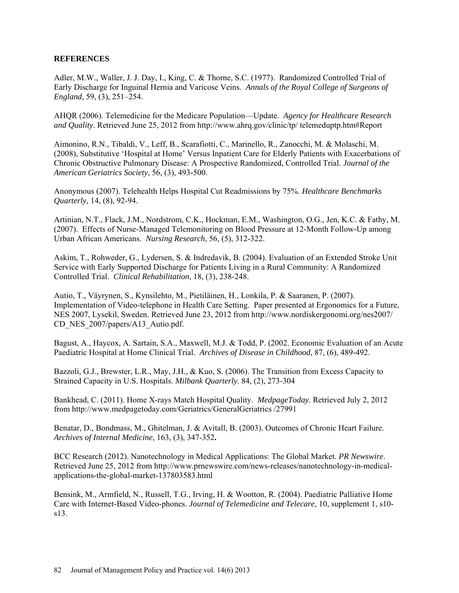## **REFERENCES**

Adler, M.W., [Waller,](http://www.ncbi.nlm.nih.gov/sites/entrez?cmd=search&db=PubMed&term=%20Waller%2BJJ%5bauth%5d) J. J. [Day,](http://www.ncbi.nlm.nih.gov/sites/entrez?cmd=search&db=PubMed&term=%20Day%2BI%5bauth%5d) I., [King,](http://www.ncbi.nlm.nih.gov/sites/entrez?cmd=search&db=PubMed&term=%20King%2BC%5bauth%5d) C. & [Thorne,](http://www.ncbi.nlm.nih.gov/sites/entrez?cmd=search&db=PubMed&term=%20Thorne%2BSC%5bauth%5d) S.C. (1977). Randomized Controlled Trial of Early Discharge for Inguinal Hernia and Varicose Veins. *Annals of the Royal College of Surgeons of England*, 59, (3), 251–254.

AHQR (2006). Telemedicine for the Medicare Population—Update. *Agency for Healthcare Research and Quality*. Retrieved June 25, 2012 from [http://www.ahrq.gov/clinic/tp/ telemeduptp.htm#Report](http://www.ahrq.gov/clinic/tp/%20telemeduptp.htm#Report)

Aimonino, R.N., [Tibaldi,](http://www.ncbi.nlm.nih.gov/pubmed?term=Tibaldi%20V%5BAuthor%5D&cauthor=true&cauthor_uid=18179503) V., [Leff,](http://www.ncbi.nlm.nih.gov/pubmed?term=Leff%20B%5BAuthor%5D&cauthor=true&cauthor_uid=18179503) B., [Scarafiotti,](http://www.ncbi.nlm.nih.gov/pubmed?term=Scarafiotti%20C%5BAuthor%5D&cauthor=true&cauthor_uid=18179503) C., [Marinello,](http://www.ncbi.nlm.nih.gov/pubmed?term=Marinello%20R%5BAuthor%5D&cauthor=true&cauthor_uid=18179503) R., [Zanocchi,](http://www.ncbi.nlm.nih.gov/pubmed?term=Zanocchi%20M%5BAuthor%5D&cauthor=true&cauthor_uid=18179503) M. & [Molaschi,](http://www.ncbi.nlm.nih.gov/pubmed?term=Molaschi%20M%5BAuthor%5D&cauthor=true&cauthor_uid=18179503) M. (2008), Substitutive 'Hospital at Home' Versus Inpatient Care for Elderly Patients with Exacerbations of Chronic Obstructive Pulmonary Disease: A Prospective Randomized, Controlled Trial. *Journal of the American Geriatrics Society*, 56, (3), 493-500.

Anonymous (2007). Telehealth Helps Hospital Cut Readmissions by 75%. *Healthcare Benchmarks Quarterly*, 14, (8), 92-94.

Artinian, N.T., [Flack,](http://www.ncbi.nlm.nih.gov/pubmed?term=Flack%20JM%5BAuthor%5D&cauthor=true&cauthor_uid=17846552) J.M., [Nordstrom,](http://www.ncbi.nlm.nih.gov/pubmed?term=Nordstrom%20CK%5BAuthor%5D&cauthor=true&cauthor_uid=17846552) C.K., [Hockman,](http://www.ncbi.nlm.nih.gov/pubmed?term=Hockman%20EM%5BAuthor%5D&cauthor=true&cauthor_uid=17846552) E.M., [Washington,](http://www.ncbi.nlm.nih.gov/pubmed?term=Washington%20OG%5BAuthor%5D&cauthor=true&cauthor_uid=17846552) O.G., [Jen,](http://www.ncbi.nlm.nih.gov/pubmed?term=Jen%20KL%5BAuthor%5D&cauthor=true&cauthor_uid=17846552) K.C. & [Fathy, M.](http://www.ncbi.nlm.nih.gov/pubmed?term=Fathy%20M%5BAuthor%5D&cauthor=true&cauthor_uid=17846552)  (2007). Effects of Nurse-Managed Telemonitoring on Blood Pressure at 12-Month Follow-Up among Urban African Americans. *Nursing Research*, 56, (5), 312-322.

Askim, T., Rohweder, G., Lydersen, S. & Indredavik, B. (2004). Evaluation of an Extended Stroke Unit Service with Early Supported Discharge for Patients Living in a Rural Community: A Randomized Controlled Trial. *Clinical Rehabilitation*, 18, (3), 238-248.

Autio, T., Väyrynen, S., Kynsilehto, M., Pietiläinen, H., Lonkila, P. & Saaranen, P. (2007). Implementation of Video-telephone in Health Care Setting. Paper presented at Ergonomics for a Future, NES 2007, Lysekil, Sweden. Retrieved June 23, 2012 from [http://www.nordiskergonomi.org/nes2007/](http://www.nordiskergonomi.org/nes2007/%20CD_NES_2007/papers/A13_Autio.pdf)  [CD\\_NES\\_2007/papers/A13\\_Autio.pdf.](http://www.nordiskergonomi.org/nes2007/%20CD_NES_2007/papers/A13_Autio.pdf)

Bagust, A., [Haycox,](http://adc.bmj.com/search?author1=A+Haycox&sortspec=date&submit=Submit) A. [Sartain,](http://adc.bmj.com/search?author1=S+A+Sartain&sortspec=date&submit=Submit) S.A., [Maxwell,](http://adc.bmj.com/search?author1=M+J+Maxwell&sortspec=date&submit=Submit) M.J. & Todd, P. (2002. Economic Evaluation of an Acute Paediatric Hospital at Home Clinical Trial. *Archives of Disease in Childhood*, 87, (6), 489-492.

Bazzoli, G.J., Brewster, L.R., May, J.H., & Kuo, S. (2006). The Transition from Excess Capacity to Strained Capacity in U.S. Hospitals. *Milbank Quarterly*. 84, (2), 273-304

Bankhead, C. (2011). Home X-rays Match Hospital Quality. *MedpageToday*. Retrieved July 2, 2012 from<http://www.medpagetoday.com/Geriatrics/GeneralGeriatrics> /27991

Benatar, D., Bondmass, M., Ghitelman, J. & Avitall, B. (2003). Outcomes of Chronic Heart Failure. *Archives of Internal Medicine*, 163, (3), 347-352**.**

BCC Research (2012). Nanotechnology in Medical Applications: The Global Market. *PR Newswire*. Retrieved June 25, 2012 from http://www.prnewswire.com/news-releases/nanotechnology-in-medicalapplications-the-global-market-137803583.html

Bensink, M., [Armfield,](http://www.ncbi.nlm.nih.gov/pubmed?term=Armfield%20N%5BAuthor%5D&cauthor=true&cauthor_uid=15603596) N., [Russell,](http://www.ncbi.nlm.nih.gov/pubmed?term=Russell%20TG%5BAuthor%5D&cauthor=true&cauthor_uid=15603596) T.G., [Irving,](http://www.ncbi.nlm.nih.gov/pubmed?term=Irving%20H%5BAuthor%5D&cauthor=true&cauthor_uid=15603596) H. & [Wootton,](http://www.ncbi.nlm.nih.gov/pubmed?term=Wootton%20R%5BAuthor%5D&cauthor=true&cauthor_uid=15603596) R. (2004). Paediatric Palliative Home Care with Internet-Based Video-phones. *Journal of Telemedicine and Telecare*, 10, supplement 1, s10 s13.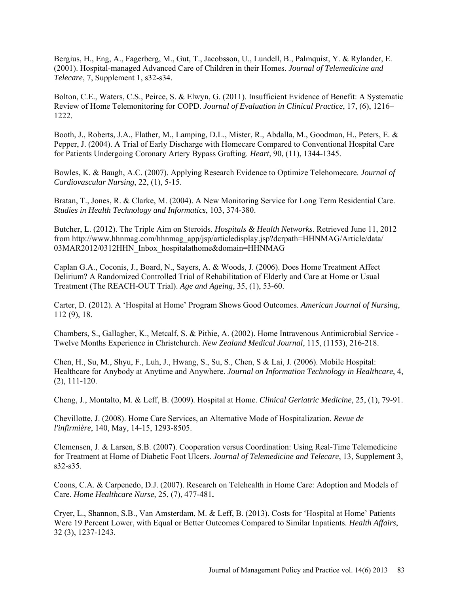Bergius, H., [Eng,](http://www.ncbi.nlm.nih.gov/pubmed?term=Eng%20A%5BAuthor%5D&cauthor=true&cauthor_uid=11576483) A., [Fagerberg,](http://www.ncbi.nlm.nih.gov/pubmed?term=Fagerberg%20M%5BAuthor%5D&cauthor=true&cauthor_uid=11576483) M., [Gut,](http://www.ncbi.nlm.nih.gov/pubmed?term=Gut%20T%5BAuthor%5D&cauthor=true&cauthor_uid=11576483) T., [Jacobsson,](http://www.ncbi.nlm.nih.gov/pubmed?term=Jacobsson%20U%5BAuthor%5D&cauthor=true&cauthor_uid=11576483) U., [Lundell,](http://www.ncbi.nlm.nih.gov/pubmed?term=Lundell%20B%5BAuthor%5D&cauthor=true&cauthor_uid=11576483) B., [Palmquist,](http://www.ncbi.nlm.nih.gov/pubmed?term=Palmquist%20Y%5BAuthor%5D&cauthor=true&cauthor_uid=11576483) Y. & [Rylander,](http://www.ncbi.nlm.nih.gov/pubmed?term=Rylander%20E%5BAuthor%5D&cauthor=true&cauthor_uid=11576483) E. (2001). Hospital-managed Advanced Care of Children in their Homes. *Journal of Telemedicine and Telecare*, 7, Supplement 1, s32-s34.

Bolton, C.E., Waters, C.S., Peirce, S. & Elwyn, G. (2011). Insufficient Evidence of Benefit: A Systematic Review of Home Telemonitoring for COPD. *Journal of Evaluation in Clinical Practice*, 17, (6), 1216– 1222.

Booth, J., [Roberts,](http://www.ncbi.nlm.nih.gov/sites/entrez?cmd=search&db=PubMed&term=%20Roberts%2BJA%5bauth%5d) J.A., [Flather,](http://www.ncbi.nlm.nih.gov/sites/entrez?cmd=search&db=PubMed&term=%20Flather%2BM%5bauth%5d) M., [Lamping,](http://www.ncbi.nlm.nih.gov/sites/entrez?cmd=search&db=PubMed&term=%20Lamping%2BDL%5bauth%5d) D.L., [Mister,](http://www.ncbi.nlm.nih.gov/sites/entrez?cmd=search&db=PubMed&term=%20Mister%2BR%5bauth%5d) R., [Abdalla,](http://www.ncbi.nlm.nih.gov/sites/entrez?cmd=search&db=PubMed&term=%20Abdalla%2BM%5bauth%5d) M., [Goodman,](http://www.ncbi.nlm.nih.gov/sites/entrez?cmd=search&db=PubMed&term=%20Goodman%2BH%5bauth%5d) H., [Peters,](http://www.ncbi.nlm.nih.gov/sites/entrez?cmd=search&db=PubMed&term=%20Peters%2BE%5bauth%5d) E. & Pepper, J. (2004). A Trial of Early Discharge with Homecare Compared to Conventional Hospital Care for Patients Undergoing Coronary Artery Bypass Grafting. *Heart*, 90, (11), 1344-1345.

Bowles, K. & Baugh, A.C. (2007). Applying Research Evidence to Optimize Telehomecare. *Journal of Cardiovascular Nursing*, 22, (1), 5-15.

[Bratan, T.](http://www.ncbi.nlm.nih.gov/pubmed?term=Bratan%20T%5BAuthor%5D&cauthor=true&cauthor_uid=15747943), Jones, R. & Clarke, M. (2004). A New Monitoring Service for Long Term Residential Care. *[Studies in Health Technology and Informatics](http://www.ncbi.nlm.nih.gov/pubmed/15747943)*, 103, 374-380.

Butcher, L. (2012). The Triple Aim on Steroids. *Hospitals & Health Networks*. Retrieved June 11, 2012 from http://www.hhnmag.com/hhnmag\_app/jsp/articledisplay.jsp?dcrpath=HHNMAG/Article/data/ [03MAR2012/0312HHN\\_Inbox\\_hospitalathome&domain=HHNMAG](http://www.hhnmag.com/hhnmag_app/jsp/articledisplay.jsp?dcrpath=HHNMAG/Article/data/%2003MAR2012/0312HHN_Inbox_hospitalathome&domain=HHNMAG)

Caplan G.A., Coconis, J., Board, N., Sayers, A. & Woods, J. (2006). Does Home Treatment Affect Delirium? A Randomized Controlled Trial of Rehabilitation of Elderly and Care at Home or Usual Treatment (The REACH-OUT Trial). *Age and Ageing*, 35, (1), 53-60.

Carter, D. (2012). A 'Hospital at Home' Program Shows Good Outcomes. *American Journal of Nursing*, 112 (9), 18.

Chambers, S., Gallagher, K., Metcalf, S. & Pithie, A. (2002). Home Intravenous Antimicrobial Service - Twelve Months Experience in Christchurch. *New Zealand Medical Journal*, 115, (1153), 216-218.

Chen, H., Su, M., Shyu, F., Luh, J., Hwang, S., Su, S., Chen, S & Lai, J. (2006). Mobile Hospital: Healthcare for Anybody at Anytime and Anywhere. *Journal on Information Technology in Healthcare*, 4, (2), 111-120.

Cheng, J., Montalto, M. & Leff, B. (2009). Hospital at Home. *Clinical Geriatric Medicine*, 25, (1), 79-91.

Chevillotte, [J. \(](http://www.google.com/url?sa=t&rct=j&q=%E2%80%9Chome%20care%20services%E2%80%9D%20%22revue%20de%20l)2008). Home Care Services, an Alternative Mode of Hospitalization. *Revue de l'infirmière*, 140, May, 14-15, 1293-8505.

Clemensen, J. & Larsen, S.B. (2007). Cooperation versus Coordination: Using Real-Time Telemedicine for Treatment at Home of Diabetic Foot Ulcers. *Journal of Telemedicine and Telecare*, 13, Supplement 3, s32-s35.

Coons, C.A. & Carpenedo, D.J. (2007). Research on Telehealth in Home Care: Adoption and Models of Care. *Home Healthcare Nurse*, 25, (7), 477-481**.** 

Cryer, L., Shannon, S.B., Van Amsterdam, M. & Leff, B. (2013). Costs for 'Hospital at Home' Patients Were 19 Percent Lower, with Equal or Better Outcomes Compared to Similar Inpatients. *Health Affairs*, 32 (3), 1237-1243.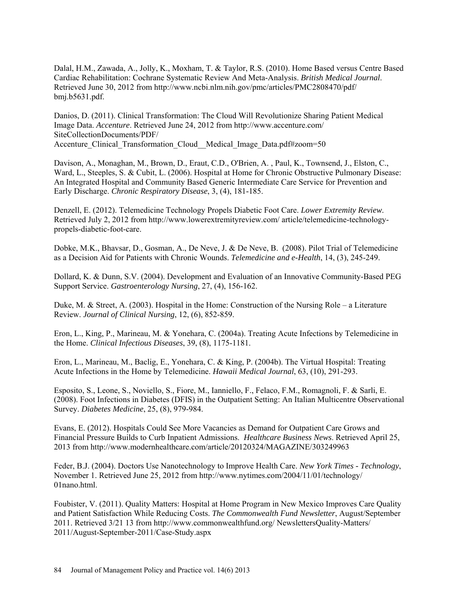Dalal, H.M., Zawada, A., Jolly, K., Moxham, T. & Taylor, R.S. (2010). Home Based versus Centre Based Cardiac Rehabilitation: Cochrane Systematic Review And Meta-Analysis. *British Medical Journal*. Retrieved June 30, 2012 from<http://www.ncbi.nlm.nih.gov/pmc/articles/PMC2808470/pdf/> bmj.b5631.pdf.

Danios, D. (2011). Clinical Transformation: The Cloud Will Revolutionize Sharing Patient Medical Image Data. *Accenture*. Retrieved June 24, 2012 from [http://www.accenture.com/](http://www.accenture.com/%20SiteCollectionDocuments/PDF/%20Accenture_Clinical_Transformation_Cloud__Medical_Image_Data.pdf#zoom=50)  [SiteCollectionDocuments/PDF/](http://www.accenture.com/%20SiteCollectionDocuments/PDF/%20Accenture_Clinical_Transformation_Cloud__Medical_Image_Data.pdf#zoom=50)  Accenture Clinical Transformation Cloud Medical Image Data.pdf#zoom=50

Davison, A., [Monaghan,](http://crd.sagepub.com/search?author1=M+Monaghan&sortspec=date&submit=Submit) M., [Brown,](http://crd.sagepub.com/search?author1=D+Brown&sortspec=date&submit=Submit) D., [Eraut,](http://crd.sagepub.com/search?author1=C+D+Eraut&sortspec=date&submit=Submit) C.D., [O'Brien,](http://crd.sagepub.com/search?author1=A+O) A. , [Paul,](http://crd.sagepub.com/search?author1=K+Paul&sortspec=date&submit=Submit) K., [Townsend,](http://crd.sagepub.com/search?author1=J+Townsend&sortspec=date&submit=Submit) J., [Elston,](http://crd.sagepub.com/search?author1=C+Elston&sortspec=date&submit=Submit) C., [Ward,](http://crd.sagepub.com/search?author1=L+Ward&sortspec=date&submit=Submit) L., [Steeples,](http://crd.sagepub.com/search?author1=S+Steeples&sortspec=date&submit=Submit) S. & Cubit, L. (2006). Hospital at Home for Chronic Obstructive Pulmonary Disease: An Integrated Hospital and Community Based Generic Intermediate Care Service for Prevention and Early Discharge. *Chronic Respiratory Disease*, 3, (4), 181-185.

Denzell, E. (2012). Telemedicine Technology Propels Diabetic Foot Care. *Lower Extremity Review*. Retrieved July 2, 2012 from<http://www.lowerextremityreview.com/> article/telemedicine-technologypropels-diabetic-foot-care.

Dobke, M.K., [Bhavsar,](http://www.ncbi.nlm.nih.gov/pubmed?term=Bhavsar%20D%5BAuthor%5D&cauthor=true&cauthor_uid=18570547) D., [Gosman,](http://www.ncbi.nlm.nih.gov/pubmed?term=Gosman%20A%5BAuthor%5D&cauthor=true&cauthor_uid=18570547) A., [De Neve,](http://www.ncbi.nlm.nih.gov/pubmed?term=De%20Neve%20J%5BAuthor%5D&cauthor=true&cauthor_uid=18570547) J. & [De Neve, B. \(](http://www.ncbi.nlm.nih.gov/pubmed?term=De%20Neve%20B%5BAuthor%5D&cauthor=true&cauthor_uid=18570547)2008). Pilot Trial of Telemedicine as a Decision Aid for Patients with Chronic Wounds. *Telemedicine and e-Health*, 14, (3), 245-249.

Dollard, K. & Dunn, S.V. (2004). Development and Evaluation of an Innovative Community-Based PEG Support Service. *Gastroenterology Nursing*, 27, (4), 156-162.

Duke, M. & Street, A. (2003). Hospital in the Home: Construction of the Nursing Role – a Literature Review. *Journal of Clinical Nursing*, 12, (6), 852-859.

Eron, L., King, P., [Marineau,](http://www.ncbi.nlm.nih.gov/pubmed?term=Marineau%20M%5BAuthor%5D&cauthor=true&cauthor_uid=15570714) M. & [Yonehara,](http://www.ncbi.nlm.nih.gov/pubmed?term=Yonehara%20C%5BAuthor%5D&cauthor=true&cauthor_uid=15570714) C. (2004a). Treating Acute Infections by Telemedicine in the Home. *Clinical Infectious Diseases*, 39, (8), 1175-1181.

Eron, L., [Marineau,](http://www.ncbi.nlm.nih.gov/pubmed?term=Marineau%20M%5BAuthor%5D&cauthor=true&cauthor_uid=15570714) M., [Baclig,](http://www.ncbi.nlm.nih.gov/pubmed?term=Baclig%20E%5BAuthor%5D&cauthor=true&cauthor_uid=15570714) E., [Yonehara,](http://www.ncbi.nlm.nih.gov/pubmed?term=Yonehara%20C%5BAuthor%5D&cauthor=true&cauthor_uid=15570714) C. & King, P. (2004b). The Virtual Hospital: Treating Acute Infections in the Home by Telemedicine. *Hawaii Medical Journal*, 63, (10), 291-293.

Esposito, S., Leone, S., Noviello, S., Fiore, M., Ianniello, F., Felaco, F.M., Romagnoli, F. & Sarli, E. (2008). Foot Infections in Diabetes (DFIS) in the Outpatient Setting: An Italian Multicentre Observational Survey. *Diabetes Medicine*, 25, (8), 979-984.

Evans, E. (2012). Hospitals Could See More Vacancies as Demand for Outpatient Care Grows and Financial Pressure Builds to Curb Inpatient Admissions. *Healthcare Business News*. Retrieved April 25, 2013 from http://www.modernhealthcare.com/article/20120324/MAGAZINE/303249963

Feder, B.J. (2004). Doctors Use Nanotechnology to Improve Health Care. *New York Times - Technology*, November 1. Retrieved June 25, 2012 from<http://www.nytimes.com/2004/11/01/technology/> 01nano.html.

Foubister, V. (2011). Quality Matters: Hospital at Home Program in New Mexico Improves Care Quality and Patient Satisfaction While Reducing Costs. *The Commonwealth Fund Newsletter*, August/September 2011. Retrieved 3/21 13 from [http://www.commonwealthfund.org/ NewslettersQuality-Matters/](http://www.commonwealthfund.org/%20NewslettersQuality-Matters/%202011/August-September-2011/Case-Study.aspx)  [2011/August-September-2011/Case-Study.aspx](http://www.commonwealthfund.org/%20NewslettersQuality-Matters/%202011/August-September-2011/Case-Study.aspx)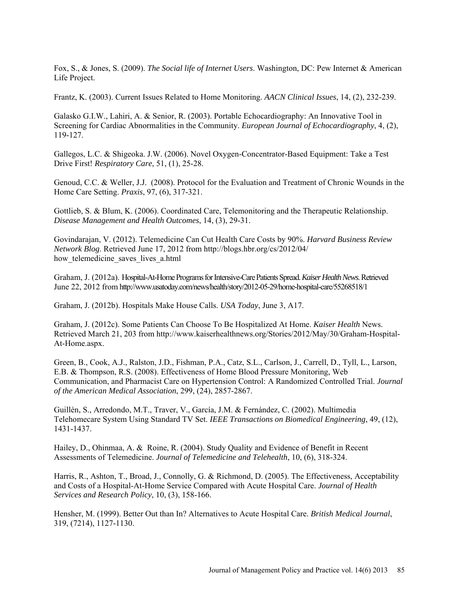Fox, S., & Jones, S. (2009). *The Social life of Internet Users*. Washington, DC: Pew Internet & American Life Project.

[Frantz, K.](http://www.ncbi.nlm.nih.gov/pubmed?term=Frantz%20AK%5BAuthor%5D&cauthor=true&cauthor_uid=12819459) (2003). Current Issues Related to Home Monitoring. *AACN Clinical Issues*, 14, (2), 232-239.

Galasko G.I.W., [Lahiri,](http://www.ncbi.nlm.nih.gov/pubmed?term=Lahiri%20A%5BAuthor%5D&cauthor=true&cauthor_uid=12749873) A. & Senior, R. (2003). Portable Echocardiography: An Innovative Tool in Screening for Cardiac Abnormalities in the Community. *European Journal of Echocardiography*, 4, (2), 119-127.

Gallegos, L.C. & Shigeoka. J.W. (2006). Novel Oxygen-Concentrator-Based Equipment: Take a Test Drive First! *Respiratory Care*, 51, (1), 25-28.

Genoud, C.C. & [Weller,](http://www.ncbi.nlm.nih.gov/pubmed?term=Weller%20J%5BAuthor%5D&cauthor=true&cauthor_uid=18548939) J.J. (2008). Protocol for the Evaluation and Treatment of Chronic Wounds in the Home Care Setting. *Praxis*, 97, (6), 317-321.

Gottlieb, S. & Blum, K. (2006). Coordinated Care, Telemonitoring and the Therapeutic Relationship. *Disease Management and Health Outcomes*, 14, (3), 29-31.

Govindarajan, V. (2012). Telemedicine Can Cut Health Care Costs by 90%. *Harvard Business Review Network Blog*. Retrieved June 17, 2012 from [http://blogs.hbr.org/cs/2012/0](http://blogs.hbr.org/cs/2012/)4/ how telemedicine saves lives a.html

Graham, J. (2012a). Hospital-At-Home Programs for Intensive-Care Patients Spread. *Kaiser Health News*. Retrieved June 22, 2012 from http://www.usatoday.com/news/health/story/2012-05-29/home-hospital-care/55268518/1

Graham, J. (2012b). Hospitals Make House Calls. *USA Today*, June 3, A17.

Graham, J. (2012c). Some Patients Can Choose To Be Hospitalized At Home. *Kaiser Health* News. Retrieved March 21, 203 from [http://www.kaiserhealthnews.org/Stories/2012/May/30/Graham-Hospital-](http://www.kaiserhealthnews.org/Stories/2012/May/30/Graham-Hospital-At-Home.aspx)[At-Home.aspx.](http://www.kaiserhealthnews.org/Stories/2012/May/30/Graham-Hospital-At-Home.aspx)

Green, B., Cook, A.J., [Ralston,](http://www.ncbi.nlm.nih.gov/pubmed?term=Ralston%20JD%5BAuthor%5D&cauthor=true&cauthor_uid=18577730) J.D., [Fishman,](http://www.ncbi.nlm.nih.gov/pubmed?term=Fishman%20PA%5BAuthor%5D&cauthor=true&cauthor_uid=18577730) P.A., [Catz,](http://www.ncbi.nlm.nih.gov/pubmed?term=Catz%20SL%5BAuthor%5D&cauthor=true&cauthor_uid=18577730) S.L., [Carlson,](http://www.ncbi.nlm.nih.gov/pubmed?term=Carlson%20J%5BAuthor%5D&cauthor=true&cauthor_uid=18577730) J., [Carrell,](http://www.ncbi.nlm.nih.gov/pubmed?term=Carrell%20D%5BAuthor%5D&cauthor=true&cauthor_uid=18577730) D., [Tyll,](http://www.ncbi.nlm.nih.gov/pubmed?term=Tyll%20L%5BAuthor%5D&cauthor=true&cauthor_uid=18577730) L., [Larson,](http://www.ncbi.nlm.nih.gov/pubmed?term=Larson%20EB%5BAuthor%5D&cauthor=true&cauthor_uid=18577730) E.B. & Thompson, R.S. (2008). Effectiveness of Home Blood Pressure Monitoring, Web Communication, and Pharmacist Care on Hypertension Control: A Randomized Controlled Trial. *Journal of the American Medical Association*, 299, (24), 2857-2867.

[Guillén, S.](http://www.ncbi.nlm.nih.gov/pubmed?term=Guill%C3%A9n%20S%5BAuthor%5D&cauthor=true&cauthor_uid=12542238), [Arredondo,](http://www.ncbi.nlm.nih.gov/pubmed?term=Arredondo%20MT%5BAuthor%5D&cauthor=true&cauthor_uid=12542238) M.T., [Traver,](http://www.ncbi.nlm.nih.gov/pubmed?term=Traver%20V%5BAuthor%5D&cauthor=true&cauthor_uid=12542238) V., [García,](http://www.ncbi.nlm.nih.gov/pubmed?term=Garc%C3%ADa%20JM%5BAuthor%5D&cauthor=true&cauthor_uid=12542238) J.M. & [Fernández,](http://www.ncbi.nlm.nih.gov/pubmed?term=Fern%C3%A1ndez%20C%5BAuthor%5D&cauthor=true&cauthor_uid=12542238) C. (2002). Multimedia Telehomecare System Using Standard TV Set. *IEEE Transactions on Biomedical Engineering*, 49, (12), 1431-1437.

[Hailey,](http://jtt.rsmjournals.com/search?author1=David+Hailey&sortspec=date&submit=Submit) D., [Ohinmaa,](http://jtt.rsmjournals.com/search?author1=Arto+Ohinmaa&sortspec=date&submit=Submit) A. & [Roine,](http://jtt.rsmjournals.com/search?author1=Risto+Roine&sortspec=date&submit=Submit) R. (2004). Study Quality and Evidence of Benefit in Recent Assessments of Telemedicine. *Journal of Telemedicine and Telehealth*, 10, (6), 318-324.

[Harris,](http://jhsrp.rsmjournals.com/search?author1=Roger+Harris&sortspec=date&submit=Submit) R., [Ashton,](http://jhsrp.rsmjournals.com/search?author1=Toni+Ashton&sortspec=date&submit=Submit) T., [Broad,](http://jhsrp.rsmjournals.com/search?author1=Joanna+Broad&sortspec=date&submit=Submit) J., [Connolly,](http://jhsrp.rsmjournals.com/search?author1=Gary+Connolly&sortspec=date&submit=Submit) G. & [Richmond,](http://jhsrp.rsmjournals.com/search?author1=David+Richmond&sortspec=date&submit=Submit) D. (2005). The Effectiveness, Acceptability and Costs of a Hospital-At-Home Service Compared with Acute Hospital Care. *Journal of Health Services and Research Policy*, 10, (3), 158-166.

Hensher, M. (1999). Better Out than In? Alternatives to Acute Hospital Care. *British Medical Journal*, 319, (7214), 1127-1130.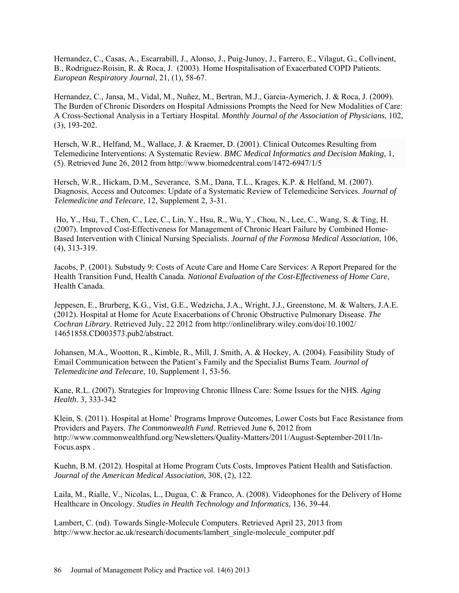Hernandez, C., [Casas,](http://www.ncbi.nlm.nih.gov/pubmed?term=Casas%20A%5BAuthor%5D&cauthor=true&cauthor_uid=12570110) A., [Escarrabill,](http://www.ncbi.nlm.nih.gov/pubmed?term=Escarrabill%20J%5BAuthor%5D&cauthor=true&cauthor_uid=12570110) J., [Alonso,](http://www.ncbi.nlm.nih.gov/pubmed?term=Alonso%20J%5BAuthor%5D&cauthor=true&cauthor_uid=12570110) J., [Puig-Junoy,](http://www.ncbi.nlm.nih.gov/pubmed?term=Puig-Junoy%20J%5BAuthor%5D&cauthor=true&cauthor_uid=12570110) J., [Farrero,](http://www.ncbi.nlm.nih.gov/pubmed?term=Farrero%20E%5BAuthor%5D&cauthor=true&cauthor_uid=12570110) E., [Vilagut,](http://www.ncbi.nlm.nih.gov/pubmed?term=Vilagut%20G%5BAuthor%5D&cauthor=true&cauthor_uid=12570110) G., [Collvinent,](http://www.ncbi.nlm.nih.gov/pubmed?term=Collvinent%20B%5BAuthor%5D&cauthor=true&cauthor_uid=12570110) B., [Rodriguez-Roisin,](http://www.ncbi.nlm.nih.gov/pubmed?term=Rodriguez-Roisin%20R%5BAuthor%5D&cauthor=true&cauthor_uid=12570110) R. & [Roca,](http://www.ncbi.nlm.nih.gov/pubmed?term=Roca%20J%5BAuthor%5D&cauthor=true&cauthor_uid=12570110) J. (2003). Home Hospitalisation of Exacerbated COPD Patients. *European Respiratory Journal*, 21, (1), 58-67.

[Hernandez,](http://lib.bioinfo.pl/auth:Hernandez,C) C.[, Jansa,](http://lib.bioinfo.pl/auth:Jansa,M) [M., Vidal,](http://lib.bioinfo.pl/auth:Vidal,M) [M., Nuñez,](http://lib.bioinfo.pl/auth:Nuñez,M) M., [Bertran,](http://lib.bioinfo.pl/auth:Bertran,MJ) M.J., [Garcia-Aymerich,](http://lib.bioinfo.pl/auth:Garcia-Aymerich,J) J. & Roca, J. (2009). The Burden of Chronic Disorders on Hospital Admissions Prompts the Need for New Modalities of Care: A Cross-Sectional Analysis in a Tertiary Hospital. *Monthly Journal of the Association of Physicians*, 102, (3), 193-202.

Hersch, W.R., Helfand, M., Wallace, J. & Kraemer, D. (2001). Clinical Outcomes Resulting from Telemedicine Interventions: A Systematic Review. *BMC Medical Informatics and Decision Making*, 1, (5). Retrieved June 26, 2012 from<http://www.biomedcentral.com/1472-6947/1/5>

Hersch, W.R., [Hickam,](http://www.ncbi.nlm.nih.gov/pubmed?term=Hickam%20DH%5BAuthor%5D&cauthor=true&cauthor_uid=16989671) D.M., [Severance,](http://www.ncbi.nlm.nih.gov/pubmed?term=Severance%20SM%5BAuthor%5D&cauthor=true&cauthor_uid=16989671) S.M., [Dana,](http://www.ncbi.nlm.nih.gov/pubmed?term=Dana%20TL%5BAuthor%5D&cauthor=true&cauthor_uid=16989671) T.L., [Krages,](http://www.ncbi.nlm.nih.gov/pubmed?term=Pyle%20Krages%20K%5BAuthor%5D&cauthor=true&cauthor_uid=16989671) K.P. & [Helfand, M. \(](http://www.ncbi.nlm.nih.gov/pubmed?term=Helfand%20M%5BAuthor%5D&cauthor=true&cauthor_uid=16989671)2007). Diagnosis, Access and Outcomes: Update of a Systematic Review of Telemedicine Services. *Journal of Telemedicine and Telecare*, 12, Supplement 2, 3-31.

[Ho,](http://academic.research.microsoft.com/Author/23616573/yi-lwun-ho) Y., [Hsu,](http://academic.research.microsoft.com/Author/26058118/tse-pin-hsu) T., [Chen,](http://academic.research.microsoft.com/Author/53715158/chiou-ping-chen) C., Lee, C., [Lin,](http://academic.research.microsoft.com/Author/23668428/yen-hung-lin) Y., [Hsu,](http://academic.research.microsoft.com/Author/39826274/ron-bin-hsu) R., [Wu,](http://academic.research.microsoft.com/Author/23708323/yen-wen-wu) Y., [Chou,](http://academic.research.microsoft.com/Author/19859391/nai-kuan-chou) N., [Lee,](http://academic.research.microsoft.com/Author/53643860/chi-ming-lee) C., [Wang,](http://academic.research.microsoft.com/Author/23059831/shoei-shen-wang) S. & [Ting,](http://academic.research.microsoft.com/Author/55737551/hsiu-tzu-ting) H. (2007). Improved Cost-Effectiveness for Management of Chronic Heart Failure by Combined Home-Based Intervention with Clinical Nursing Specialists. *Journal of the Formosa Medical Association*, 106, (4), 313-319.

Jacobs, P. (2001). Substudy 9: Costs of Acute Care and Home Care Services: A Report Prepared for the Health Transition Fund, Health Canada. *National Evaluation of the Cost-Effectiveness of Home Care*, Health Canada.

Jeppesen, E., Brurberg, K.G., Vist, G.E., Wedzicha, J.A., Wright, J.J., Greenstone, M. & Walters, J.A.E. (2012). Hospital at Home for Acute Exacerbations of Chronic Obstructive Pulmonary Disease. *The Cochran Library*. Retrieved July, 22 2012 from<http://onlinelibrary.wiley.com/doi/10.1002/> 14651858.CD003573.pub2/abstract.

Johansen, M.A., [Wootton,](http://www.ncbi.nlm.nih.gov/pubmed?term=Wootton%20R%5BAuthor%5D&cauthor=true&cauthor_uid=15603610) R., [Kimble,](http://www.ncbi.nlm.nih.gov/pubmed?term=Kimble%20R%5BAuthor%5D&cauthor=true&cauthor_uid=15603610) R., [Mill,](http://www.ncbi.nlm.nih.gov/pubmed?term=Mill%20J%5BAuthor%5D&cauthor=true&cauthor_uid=15603610) J. [Smith,](http://www.ncbi.nlm.nih.gov/pubmed?term=Smith%20A%5BAuthor%5D&cauthor=true&cauthor_uid=15603610) A. & [Hockey,](http://www.ncbi.nlm.nih.gov/pubmed?term=Hockey%20A%5BAuthor%5D&cauthor=true&cauthor_uid=15603610) A. (2004). Feasibility Study of Email Communication between the Patient's Family and the Specialist Burns Team. *Journal of Telemedicine and Telecare*, 10, Supplement 1, 53-56.

Kane, R.L. (2007). Strategies for Improving Chronic Illness Care: Some Issues for the NHS. *Aging Health*. 3, 333-342

Klein, S. (2011). Hospital at Home' Programs Improve Outcomes, Lower Costs but Face Resistance from Providers and Payers. *The Commonwealth Fund*. Retrieved June 6, 2012 from [http://www.commonwealthfund.org/Newsletters/Quality-Matters/2011/August-September-2011/In-](http://www.commonwealthfund.org/Newsletters/Quality-Matters/2011/August-September-2011/In-Focus.aspx)[Focus.aspx](http://www.commonwealthfund.org/Newsletters/Quality-Matters/2011/August-September-2011/In-Focus.aspx) .

Kuehn, B.M. (2012). Hospital at Home Program Cuts Costs, Improves Patient Health and Satisfaction. *Journal of the American Medical Association*, 308, (2), 122.

Laila, M., Rialle, V., Nicolas, L., Dugua, C. & Franco, A. (2008). Videophones for the Delivery of Home Healthcare in Oncology. *Studies in Health Technology and Informatics*, 136, 39-44.

Lambert, C. (nd). Towards Single-Molecule Computers. Retrieved April 23, 2013 from [http://www.hector.ac.uk/r](http://www.hector.ac.uk/)esearch/documents/lambert\_single-molecule\_computer.pdf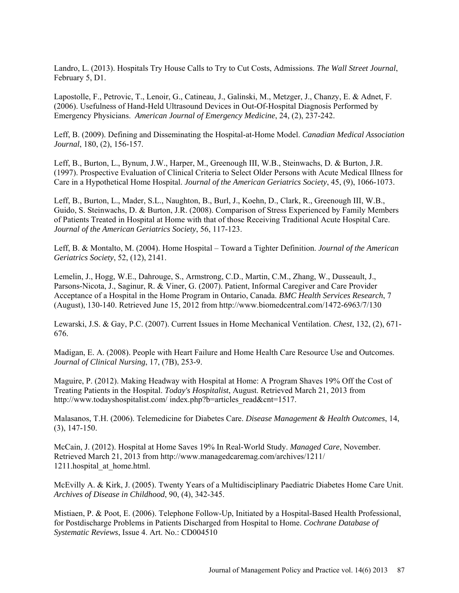Landro, L. (2013). Hospitals Try House Calls to Try to Cut Costs, Admissions. *The Wall Street Journal*, February 5, D1.

Lapostolle, F., Petrovic, T., Lenoir, G., Catineau, J., Galinski, M., Metzger, J., Chanzy, E. & Adnet, F. (2006). Usefulness of Hand-Held Ultrasound Devices in Out-Of-Hospital Diagnosis Performed by Emergency Physicians. *American Journal of Emergency Medicine*, 24, (2), 237-242.

[Leff,](http://www.annals.org/search?author1=Bruce+Leff&sortspec=date&submit=Submit) B. (2009). Defining and Disseminating the Hospital-at-Home Model. *Canadian Medical Association Journal*, 180, (2), 156-157.

[Leff,](http://www.annals.org/search?author1=Bruce+Leff&sortspec=date&submit=Submit) B., [Burton,](http://www.annals.org/search?author1=Lynda+Burton&sortspec=date&submit=Submit) L., Bynum, J.W., Harper, M., Greenough III, W.B., Steinwachs, D. & Burton, J.R. (1997). Prospective Evaluation of Clinical Criteria to Select Older Persons with Acute Medical Illness for Care in a Hypothetical Home Hospital. *Journal of the American Geriatrics Society*, 45, (9), 1066-1073.

Leff, B., Burton, L., Mader, S.L., Naughton, B., Burl, J., Koehn, D., Clark, R., Greenough III, W.B., Guido, S. Steinwachs, D. & Burton, J.R. (2008). Comparison of Stress Experienced by Family Members of Patients Treated in Hospital at Home with that of those Receiving Traditional Acute Hospital Care. *Journal of the American Geriatrics Society*, 56, 117-123.

Leff, B. & Montalto, M. (2004). Home Hospital – Toward a Tighter Definition. *Journal of the American Geriatrics Society*, 52, (12), 2141.

Lemelin, J., Hogg, W.E., Dahrouge, S., Armstrong, C.D., Martin, C.M., Zhang, W., Dusseault, J., Parsons-Nicota, J., Saginur, R. & Viner, G. (2007). Patient, Informal Caregiver and Care Provider Acceptance of a Hospital in the Home Program in Ontario, Canada. *BMC Health Services Research*, 7 (August), 130-140. Retrieved June 15, 2012 from http://www.biomedcentral.com/1472-6963/7/130

Lewarski, J.S. & Gay, P.C. (2007). Current Issues in Home Mechanical Ventilation. *Chest*, 132, (2), 671- 676.

Madigan, E. A. (2008). People with Heart Failure and Home Health Care Resource Use and Outcomes. *Journal of Clinical Nursing*, 17, (7B), 253-9.

Maguire, P. (2012). Making Headway with Hospital at Home: A Program Shaves 19% Off the Cost of Treating Patients in the Hospital. *Today's Hospitalist*, August. Retrieved March 21, 2013 from <http://www.todayshospitalist.com/> index.php?b=articles\_read&cnt=1517.

Malasanos, T.H. (2006). Telemedicine for Diabetes Care. *Disease Management & Health Outcomes*, 14, (3), 147-150.

McCain, J. (2012). Hospital at Home Saves 19% In Real-World Study. *Managed Care*, November. Retrieved March 21, 2013 from [http://www.managedcaremag.com/archives/1](http://www.managedcaremag.com/archives/)211/ 1211.hospital at home.html.

McEvilly A. & Kirk, J. (2005). Twenty Years of a Multidisciplinary Paediatric Diabetes Home Care Unit. *Archives of Disease in Childhood*, 90, (4), 342-345.

Mistiaen, P. & Poot, E. (2006). Telephone Follow-Up, Initiated by a Hospital-Based Health Professional, for Postdischarge Problems in Patients Discharged from Hospital to Home. *Cochrane Database of Systematic Reviews*, Issue 4. Art. No.: CD004510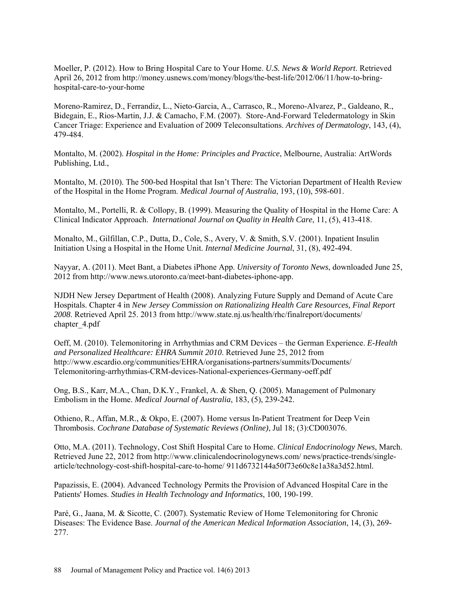Moeller, P. (2012). How to Bring Hospital Care to Your Home. *U.S. News & World Report*. Retrieved April 26, 2012 from [http://money.usnews.com/money/blogs/the-best-life/2012/06/11/how-to-bring](http://money.usnews.com/money/blogs/the-best-life/2012/06/11/how-to-bring-hospital-care-to-your-home)[hospital-care-to-your-home](http://money.usnews.com/money/blogs/the-best-life/2012/06/11/how-to-bring-hospital-care-to-your-home)

Moreno-Ramirez, D., [Ferrandiz,](http://www.ncbi.nlm.nih.gov/pubmed?term=Ferrandiz%20L%5BAuthor%5D&cauthor=true&cauthor_uid=17438180) L., [Nieto-Garcia,](http://www.ncbi.nlm.nih.gov/pubmed?term=Nieto-Garcia%20A%5BAuthor%5D&cauthor=true&cauthor_uid=17438180) A., [Carrasco,](http://www.ncbi.nlm.nih.gov/pubmed?term=Carrasco%20R%5BAuthor%5D&cauthor=true&cauthor_uid=17438180) R., [Moreno-Alvarez,](http://www.ncbi.nlm.nih.gov/pubmed?term=Moreno-Alvarez%20P%5BAuthor%5D&cauthor=true&cauthor_uid=17438180) P., [Galdeano,](http://www.ncbi.nlm.nih.gov/pubmed?term=Galdeano%20R%5BAuthor%5D&cauthor=true&cauthor_uid=17438180) R., [Bidegain,](http://www.ncbi.nlm.nih.gov/pubmed?term=Bidegain%20E%5BAuthor%5D&cauthor=true&cauthor_uid=17438180) E., [Rios-Martin,](http://www.ncbi.nlm.nih.gov/pubmed?term=Rios-Martin%20JJ%5BAuthor%5D&cauthor=true&cauthor_uid=17438180) J.J. & [Camacho,](http://www.ncbi.nlm.nih.gov/pubmed?term=Camacho%20FM%5BAuthor%5D&cauthor=true&cauthor_uid=17438180) F.M. (2007). Store-And-Forward Teledermatology in Skin Cancer Triage: Experience and Evaluation of 2009 Teleconsultations. *Archives of Dermatology*, 143, (4), 479-484.

Montalto, M. (2002). *Hospital in the Home: Principles and Practice*, Melbourne, Australia: ArtWords Publishing, Ltd.,

Montalto, M. (2010). The 500-bed Hospital that Isn't There: The Victorian Department of Health Review of the Hospital in the Home Program. *Medical Journal of Australia*, 193, (10), 598-601.

Montalto, M., Portelli, R. & [Collopy,](http://www.ncbi.nlm.nih.gov/pubmed?term=Collopy%20B%5BAuthor%5D&cauthor=true&cauthor_uid=10561033) B. (1999). Measuring the Quality of Hospital in the Home Care: A Clinical Indicator Approach. *International Journal on Quality in Health Care*, 11, (5), 413-418.

Monalto, M., Gilfillan, C.P., Dutta, D., Cole, S., Avery, V. & Smith, S.V. (2001). Inpatient Insulin Initiation Using a Hospital in the Home Unit. *Internal Medicine Journal*, 31, (8), 492-494.

Nayyar, A. (2011). Meet Bant, a Diabetes iPhone App. *University of Toronto News*, downloaded June 25, 2012 from http://www.news.utoronto.ca/meet-bant-diabetes-iphone-app.

NJDH New Jersey Department of Health (2008). Analyzing Future Supply and Demand of Acute Care Hospitals. Chapter 4 in *New Jersey Commission on Rationalizing Health Care Resources, Final Report 2008*. Retrieved April 25. 2013 from [http://www.state.nj.us/health/rhc/finalreport/d](http://www.state.nj.us/health/rhc/finalreport/)ocuments/ chapter\_4.pdf

Oeff, M. (2010). Telemonitoring in Arrhythmias and CRM Devices – the German Experience. *E-Health and Personalized Healthcare: EHRA Summit 2010*. Retrieved June 25, 2012 from [http://www.escardio.org/communities/EHRA/organisations-partners/summits/D](http://www.escardio.org/communities/EHRA/organisations-partners/summits/)ocuments/ Telemonitoring-arrhythmias-CRM-devices-National-experiences-Germany-oeff.pdf

Ong, B.S., Karr, M.A., Chan, D.K.Y., Frankel, A. & Shen, Q. (2005). Management of Pulmonary Embolism in the Home. *Medical Journal of Australia*, 183, (5), 239-242.

Othieno, R., [Affan,](http://www.ncbi.nlm.nih.gov/pubmed?term=Abu%20Affan%20M%5BAuthor%5D&cauthor=true&cauthor_uid=17636714) M.R., & [Okpo, E. \(](http://www.ncbi.nlm.nih.gov/pubmed?term=Okpo%20E%5BAuthor%5D&cauthor=true&cauthor_uid=17636714)2007). Home versus In-Patient Treatment for Deep Vein Thrombosis. *Cochrane Database of Systematic Reviews (Online)*, Jul 18; (3):CD003076.

Otto, M.A. (2011). Technology, Cost Shift Hospital Care to Home. *Clinical Endocrinology News*, March. Retrieved June 22, 2012 from<http://www.clinicalendocrinologynews.com/> news/practice-trends/singlearticle/technology-cost-shift-hospital-care-to-home/ 911d6732144a50f73e60c8e1a38a3d52.html.

[Papazissis, E.](http://www.ncbi.nlm.nih.gov/pubmed?term=Papazissis%20E%5BAuthor%5D&cauthor=true&cauthor_uid=15718579) (2004). Advanced Technology Permits the Provision of Advanced Hospital Care in the Patients' Homes. *Studies in Health Technology and Informatics*, 100, 190-199.

[Paré,](http://jamia.bmj.com/search?author1=Guy+Par%C3%A9&sortspec=date&submit=Submit) G., [Jaana,](http://jamia.bmj.com/search?author1=Mirou+Jaana&sortspec=date&submit=Submit) M. & [Sicotte,](http://jamia.bmj.com/search?author1=Claude+Sicotte&sortspec=date&submit=Submit) C. (2007). Systematic Review of Home Telemonitoring for Chronic Diseases: The Evidence Base. *Journal of the American Medical Information Association*, 14, (3), 269- 277.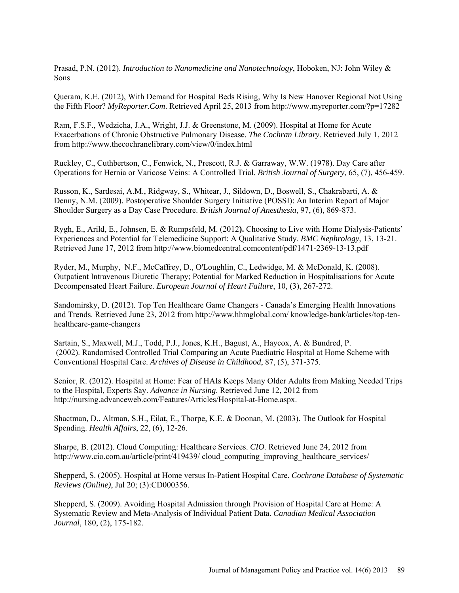Prasad, P.N. (2012). *Introduction to Nanomedicine and Nanotechnology*, Hoboken, NJ: John Wiley & Sons

Queram, K.E. (2012), With Demand for Hospital Beds Rising, Why Is New Hanover Regional Not Using the Fifth Floor? *MyReporter.Com*. Retrieved April 25, 2013 from http://www.myreporter.com/?p=17282

Ram, F.S.F., Wedzicha, J.A., Wright, J.J. & Greenstone, M. (2009). Hospital at Home for Acute Exacerbations of Chronic Obstructive Pulmonary Disease. *The Cochran Library*. Retrieved July 1, 2012 from [http://www.thecochranelibrary.com/v](http://www.thecochranelibrary.com/)iew/0/index.html

Ruckley, C., Cuthbertson, C., Fenwick, N., [Prescott,](http://www.ncbi.nlm.nih.gov/pubmed?term=Prescott%20RJ%5BAuthor%5D&cauthor=true&cauthor_uid=352473) R.J. & [Garraway,](http://www.ncbi.nlm.nih.gov/pubmed?term=Garraway%20WM%5BAuthor%5D&cauthor=true&cauthor_uid=352473) W.W. (1978). Day Care after Operations for Hernia or Varicose Veins: A Controlled Trial. *British Journal of Surgery*, 65, (7), 456-459.

Russon, K., [Sardesai,](http://bja.oxfordjournals.org/search?author1=A.+M.+Sardesai&sortspec=date&submit=Submit) A.M., [Ridgway,](http://bja.oxfordjournals.org/search?author1=S.+Ridgway&sortspec=date&submit=Submit) S., [Whitear,](http://bja.oxfordjournals.org/search?author1=J.+Whitear&sortspec=date&submit=Submit) J., [Sildown,](http://bja.oxfordjournals.org/search?author1=D.+Sildown&sortspec=date&submit=Submit) D., [Boswell,](http://bja.oxfordjournals.org/search?author1=S.+Boswell&sortspec=date&submit=Submit) S., [Chakrabarti,](http://bja.oxfordjournals.org/search?author1=A.+Chakrabarti&sortspec=date&submit=Submit) A. & [Denny,](http://bja.oxfordjournals.org/search?author1=N.+M.+Denny&sortspec=date&submit=Submit) N.M. (2009). Postoperative Shoulder Surgery Initiative (POSSI): An Interim Report of Major Shoulder Surgery as a Day Case Procedure. *British Journal of Anesthesia*, 97, (6), 869-873.

Rygh, E., Arild, E., Johnsen, E. & Rumpsfeld, M. (2012**).** Choosing to Live with Home Dialysis-Patients' Experiences and Potential for Telemedicine Support: A Qualitative Study. *BMC Nephrology*, 13, 13-21. Retrieved June 17, 2012 from [http://www.biomedcentral.comcontent/p](http://www.biomedcentral.comcontent/)df/1471-2369-13-13.pdf

Ryder, M., [Murphy,](http://discover-decouvrir.cisti-icist.nrc-cnrc.gc.ca/eng/search/?i1=au&k1=%22Murphy%2C%20Niamh%20F.%22) N.F., [McCaffrey, D](http://discover-decouvrir.cisti-icist.nrc-cnrc.gc.ca/eng/search/?i1=au&k1=%22McCaffrey%2C%20Dermot%22)., [O'Loughlin, C](http://discover-decouvrir.cisti-icist.nrc-cnrc.gc.ca/eng/search/?i1=au&k1=%22O%27Loughlin%2C%20Christina%22)., [Ledwidge, M](http://discover-decouvrir.cisti-icist.nrc-cnrc.gc.ca/eng/search/?i1=au&k1=%22Ledwidge%2C%20Mark%22). & [McDonald,](http://discover-decouvrir.cisti-icist.nrc-cnrc.gc.ca/eng/search/?i1=au&k1=%22McDonald%2C%20Kenneth%22) K. (2008). Outpatient Intravenous Diuretic Therapy; Potential for Marked Reduction in Hospitalisations for Acute Decompensated Heart Failure. *European Journal of Heart Failure*, 10, (3), 267-272.

Sandomirsky, D. (2012). Top Ten Healthcare Game Changers - Canada's Emerging Health Innovations and Trends. Retrieved June 23, 2012 from<http://www.hhmglobal.com/> knowledge-bank/articles/top-tenhealthcare-game-changers

Sartain, S., [Maxwell,](http://adc.bmj.com/search?author1=M+J+Maxwell&sortspec=date&submit=Submit) M.J., [Todd,](http://adc.bmj.com/search?author1=P+J+Todd&sortspec=date&submit=Submit) P.J., [Jones,](http://adc.bmj.com/search?author1=K+H+Jones&sortspec=date&submit=Submit) K.H., [Bagust,](http://adc.bmj.com/search?author1=A+Bagust&sortspec=date&submit=Submit) [A., Haycox,](http://adc.bmj.com/search?author1=A+Haycox&sortspec=date&submit=Submit) A. & [Bundred,](http://adc.bmj.com/search?author1=P+Bundred&sortspec=date&submit=Submit) P. (2002). Randomised Controlled Trial Comparing an Acute Paediatric Hospital at Home Scheme with Conventional Hospital Care. *Archives of Disease in Childhood*, 87, (5), 371-375.

Senior, R. (2012). Hospital at Home: Fear of HAIs Keeps Many Older Adults from Making Needed Trips to the Hospital, Experts Say. *Advance in Nursing*. Retrieved June 12, 2012 from http://nursing.advanceweb.com/Features/Articles/Hospital-at-Home.aspx.

Shactman, D., Altman, S.H., Eilat, E., Thorpe, K.E. & Doonan, M. (2003). The Outlook for Hospital Spending. *Health Affairs*, 22, (6), 12-26.

Sharpe, B. (2012). Cloud Computing: Healthcare Services. *CIO*. Retrieved June 24, 2012 from [http://www.cio.com.au/article/print/419439/ cloud\\_computing\\_improving\\_healthcare\\_services/](http://www.cio.com.au/article/print/419439/%20cloud_computing_improving_healthcare_services/)

Shepperd, S. (2005). Hospital at Home versus In-Patient Hospital Care. *Cochrane Database of Systematic Reviews (Online)*, Jul 20; (3):CD000356.

Shepperd, S. (2009). Avoiding Hospital Admission through Provision of Hospital Care at Home: A Systematic Review and Meta-Analysis of Individual Patient Data. *Canadian Medical Association Journal*, 180, (2), 175-182.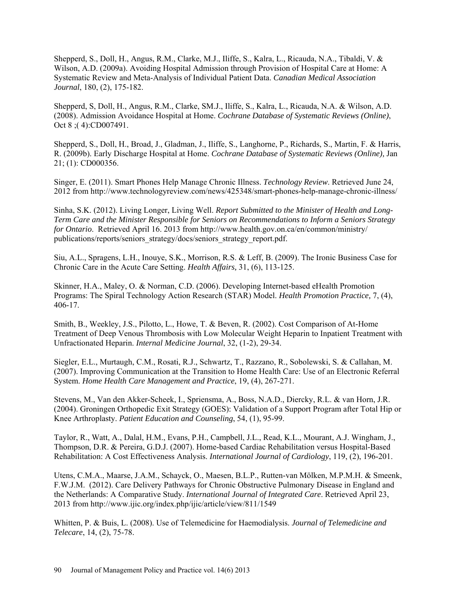Shepperd, S., Doll, H., Angus, R.M., Clarke, M.J., Iliffe, S., Kalra, L., Ricauda, N.A., Tibaldi, V. & Wilson, A.D. (2009a). Avoiding Hospital Admission through Provision of Hospital Care at Home: A Systematic Review and Meta-Analysis of Individual Patient Data. *Canadian Medical Association Journal*, 180, (2), 175-182.

[Shepperd, S,](http://www.ncbi.nlm.nih.gov/pubmed?term=Shepperd%20S%5BAuthor%5D&cauthor=true&cauthor_uid=18843751) [Doll,](http://www.ncbi.nlm.nih.gov/pubmed?term=Doll%20H%5BAuthor%5D&cauthor=true&cauthor_uid=18843751) H., [Angus,](http://www.ncbi.nlm.nih.gov/pubmed?term=Angus%20RM%5BAuthor%5D&cauthor=true&cauthor_uid=18843751) R.M., [Clarke,](http://www.ncbi.nlm.nih.gov/pubmed?term=Clarke%20MJ%5BAuthor%5D&cauthor=true&cauthor_uid=18843751) SM.J., [Iliffe,](http://www.ncbi.nlm.nih.gov/pubmed?term=Iliffe%20S%5BAuthor%5D&cauthor=true&cauthor_uid=18843751) S., [Kalra,](http://www.ncbi.nlm.nih.gov/pubmed?term=Kalra%20L%5BAuthor%5D&cauthor=true&cauthor_uid=18843751) L., [Ricauda,](http://www.ncbi.nlm.nih.gov/pubmed?term=Ricauda%20NA%5BAuthor%5D&cauthor=true&cauthor_uid=18843751) N.A. & [Wilson, A.D.](http://www.ncbi.nlm.nih.gov/pubmed?term=Wilson%20AD%5BAuthor%5D&cauthor=true&cauthor_uid=18843751)  (2008). Admission Avoidance Hospital at Home. *[Cochrane Database of Systematic Revi](http://www.ncbi.nlm.nih.gov/pubmed/18843751)ews (Online)*, Oct 8 ;( 4):CD007491.

Shepperd, S., [Doll,](http://www.ncbi.nlm.nih.gov/pubmed?term=Doll%20H%5BAuthor%5D&cauthor=true&cauthor_uid=19160179) H., [Broad,](http://www.ncbi.nlm.nih.gov/pubmed?term=Broad%20J%5BAuthor%5D&cauthor=true&cauthor_uid=19160179) J., [Gladman,](http://www.ncbi.nlm.nih.gov/pubmed?term=Gladman%20J%5BAuthor%5D&cauthor=true&cauthor_uid=19160179) J., [Iliffe,](http://www.ncbi.nlm.nih.gov/pubmed?term=Iliffe%20S%5BAuthor%5D&cauthor=true&cauthor_uid=19160179) S., [Langhorne,](http://www.ncbi.nlm.nih.gov/pubmed?term=Langhorne%20P%5BAuthor%5D&cauthor=true&cauthor_uid=19160179) P., [Richards,](http://www.ncbi.nlm.nih.gov/pubmed?term=Richards%20S%5BAuthor%5D&cauthor=true&cauthor_uid=19160179) S., [Martin,](http://www.ncbi.nlm.nih.gov/pubmed?term=Martin%20F%5BAuthor%5D&cauthor=true&cauthor_uid=19160179) F. & [Harris,](http://www.ncbi.nlm.nih.gov/pubmed?term=Harris%20R%5BAuthor%5D&cauthor=true&cauthor_uid=19160179) R. (2009b). Early Discharge Hospital at Home. *Cochrane Database of Systematic Reviews (Online),* Jan 21; (1): CD000356.

Singer, E. (2011). Smart Phones Help Manage Chronic Illness. *Technology Review*. Retrieved June 24, 2012 from<http://www.technologyreview.com/news/425348/smart-phones-help-manage-chronic-illness/>

Sinha, S.K. (2012). Living Longer, Living Well. *Report Submitted to the Minister of Health and Long-Term Care and the Minister Responsible for Seniors on Recommendations to Inform a Seniors Strategy for Ontario*. Retrieved April 16. 2013 from<http://www.health.gov.on.ca/en/common/ministry/> publications/reports/seniors\_strategy/docs/seniors\_strategy\_report.pdf.

[Siu,](http://content.healthaffairs.org/search?author1=Albert+L.+Siu&sortspec=date&submit=Submit) A.L., [Spragens,](http://content.healthaffairs.org/search?author1=Lynn+H.+Spragens&sortspec=date&submit=Submit) L.H., [Inouye,](http://content.healthaffairs.org/search?author1=Sharon+K.+Inouye&sortspec=date&submit=Submit) S.K., [Morrison,](http://content.healthaffairs.org/search?author1=R.+Sean+Morrison&sortspec=date&submit=Submit) R.S. & [Leff,](http://content.healthaffairs.org/search?author1=Bruce+Leff&sortspec=date&submit=Submit) B. (2009). The Ironic Business Case for Chronic Care in the Acute Care Setting. *Health Affairs,* 31, (6), 113-125.

[Skinner,](http://hpp.sagepub.com/search?author1=Harvey+A.+Skinner&sortspec=date&submit=Submit) H.A., [Maley,](http://hpp.sagepub.com/search?author1=Oonagh+Maley&sortspec=date&submit=Submit) O. & [Norman,](http://hpp.sagepub.com/search?author1=Cameron+D.+Norman&sortspec=date&submit=Submit) C.D. (2006). Developing Internet-based eHealth Promotion Programs: The Spiral Technology Action Research (STAR) Model. *Health Promotion Practice,* 7, (4), 406-17.

Smith, B., [Weekley,](http://www.ncbi.nlm.nih.gov/pubmed?term=Weekley%20JS%5BAuthor%5D&cauthor=true&cauthor_uid=11783670) J.S., [Pilotto,](http://www.ncbi.nlm.nih.gov/pubmed?term=Pilotto%20L%5BAuthor%5D&cauthor=true&cauthor_uid=11783670) L., [Howe,](http://www.ncbi.nlm.nih.gov/pubmed?term=Howe%20T%5BAuthor%5D&cauthor=true&cauthor_uid=11783670) T. & [Beven,](http://www.ncbi.nlm.nih.gov/pubmed?term=Beven%20R%5BAuthor%5D&cauthor=true&cauthor_uid=11783670) R. (2002). Cost Comparison of At-Home Treatment of Deep Venous Thrombosis with Low Molecular Weight Heparin to Inpatient Treatment with Unfractionated Heparin. *Internal Medicine Journal*, 32, (1-2), 29-34.

Siegler, E.L., Murtaugh, C.M., Rosati, R.J., Schwartz, T., Razzano, R., Sobolewski, S. & Callahan, M. (2007). Improving Communication at the Transition to Home Health Care: Use of an Electronic Referral System. *Home Health Care Management and Practice*, 19, (4), 267-271.

Stevens, M., Van den Akker-Scheek, I., Spriensma, A., Boss, N.A.D., Diercky, R.L. & [van Horn,](http://www.ncbi.nlm.nih.gov/pubmed?term=van%20Horn%20JR%5BAuthor%5D&cauthor=true&cauthor_uid=16965889) J.R. (2004). Groningen Orthopedic Exit Strategy (GOES): Validation of a Support Program after Total Hip or Knee Arthroplasty. *Patient Education and Counseling*, 54, (1), 95-99.

Taylor, R., [Watt,](http://www.ncbi.nlm.nih.gov/pubmed?term=Watt%20A%5BAuthor%5D&cauthor=true&cauthor_uid=17084927) A., [Dalal,](http://www.ncbi.nlm.nih.gov/pubmed?term=Dalal%20HM%5BAuthor%5D&cauthor=true&cauthor_uid=17084927) H.M., [Evans,](http://www.ncbi.nlm.nih.gov/pubmed?term=Evans%20PH%5BAuthor%5D&cauthor=true&cauthor_uid=17084927) P.H., [Campbell,](http://www.ncbi.nlm.nih.gov/pubmed?term=Campbell%20JL%5BAuthor%5D&cauthor=true&cauthor_uid=17084927) J.L., [Read,](http://www.ncbi.nlm.nih.gov/pubmed?term=Read%20KL%5BAuthor%5D&cauthor=true&cauthor_uid=17084927) K.L., [Mourant,](http://www.ncbi.nlm.nih.gov/pubmed?term=Mourant%20AJ%5BAuthor%5D&cauthor=true&cauthor_uid=17084927) A.J. [Wingham,](http://www.ncbi.nlm.nih.gov/pubmed?term=Wingham%20J%5BAuthor%5D&cauthor=true&cauthor_uid=17084927) J., [Thompson,](http://www.ncbi.nlm.nih.gov/pubmed?term=Thompson%20DR%5BAuthor%5D&cauthor=true&cauthor_uid=17084927) D.R. & [Pereira,](http://www.ncbi.nlm.nih.gov/pubmed?term=Pereira%20Gray%20DJ%5BAuthor%5D&cauthor=true&cauthor_uid=17084927) G.D.J. (2007). Home-based Cardiac Rehabilitation versus Hospital-Based Rehabilitation: A Cost Effectiveness Analysis. *International Journal of Cardiology*, 119, (2), 196-201.

Utens, C.M.A., Maarse, J.A.M., Schayck, O., Maesen, B.L.P., Rutten-van Mölken, M.P.M.H. & Smeenk, F.W.J.M. (2012). Care Delivery Pathways for Chronic Obstructive Pulmonary Disease in England and the Netherlands: A Comparative Study. *International Journal of Integrated Care*. Retrieved April 23, 2013 from http://www.ijic.org/index.php/ijic/article/view/811/1549

Whitten, P. & Buis, L. (2008). Use of Telemedicine for Haemodialysis. *Journal of Telemedicine and Telecare*, 14, (2), 75-78.